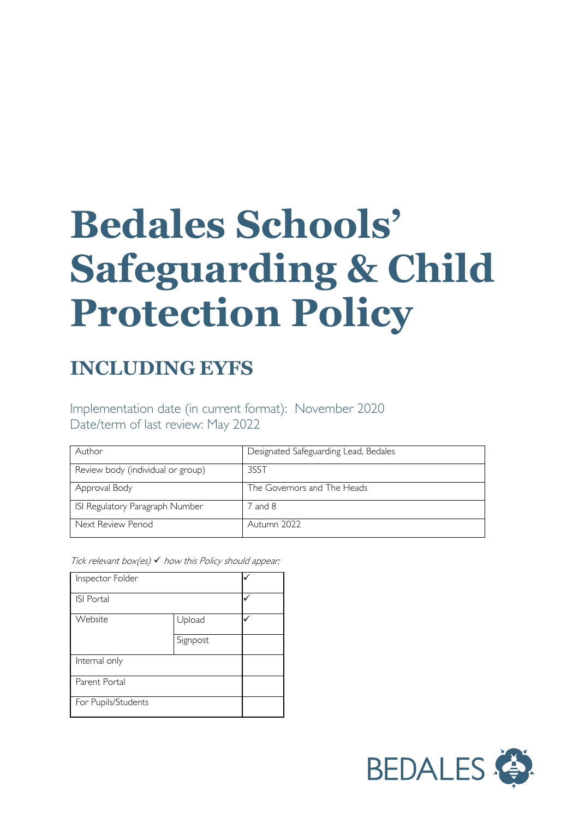# **Bedales Schools' Safeguarding & Child Protection Policy**

# **INCLUDING EYFS**

Implementation date (in current format): November 2020 Date/term of last review: May 2022

| Author                            | Designated Safeguarding Lead, Bedales |
|-----------------------------------|---------------------------------------|
| Review body (individual or group) | 3SST                                  |
| Approval Body                     | The Governors and The Heads           |
| ISI Regulatory Paragraph Number   | $7$ and $8$                           |
| Next Review Period                | Autumn 2022                           |

Tick relevant box(es)  $\checkmark$  how this Policy should appear:

| Inspector Folder    |          |   |
|---------------------|----------|---|
| <b>ISI Portal</b>   |          | ✓ |
| Website             | Upload   | ✓ |
|                     | Signpost |   |
| Internal only       |          |   |
| Parent Portal       |          |   |
| For Pupils/Students |          |   |

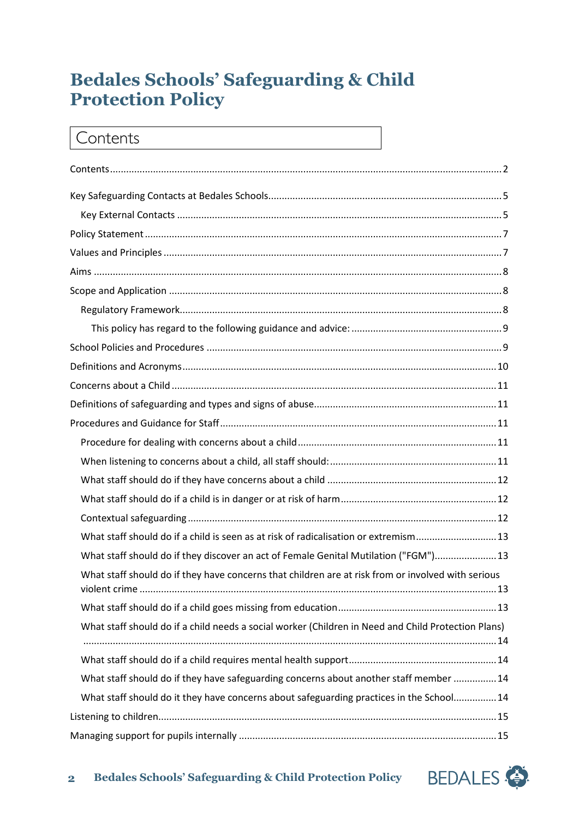# **Bedales Schools' Safeguarding & Child Protection Policy**

# <span id="page-1-0"></span>**Contents**

| What staff should do if a child is seen as at risk of radicalisation or extremism13                 |
|-----------------------------------------------------------------------------------------------------|
| What staff should do if they discover an act of Female Genital Mutilation ("FGM") 13                |
| What staff should do if they have concerns that children are at risk from or involved with serious  |
|                                                                                                     |
| What staff should do if a child needs a social worker (Children in Need and Child Protection Plans) |
|                                                                                                     |
| What staff should do if they have safeguarding concerns about another staff member  14              |
| What staff should do it they have concerns about safeguarding practices in the School 14            |
|                                                                                                     |
|                                                                                                     |

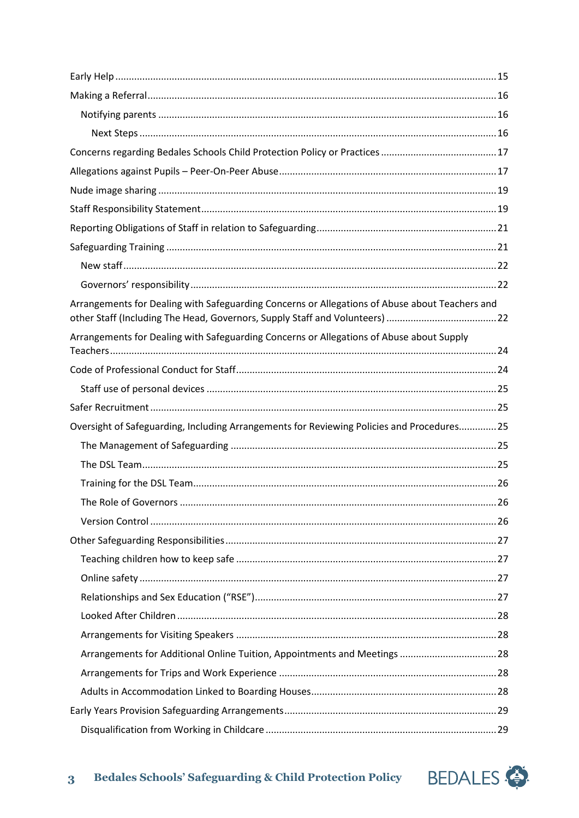| Arrangements for Dealing with Safeguarding Concerns or Allegations of Abuse about Teachers and |
|------------------------------------------------------------------------------------------------|
|                                                                                                |
| Arrangements for Dealing with Safeguarding Concerns or Allegations of Abuse about Supply       |
|                                                                                                |
|                                                                                                |
|                                                                                                |
| Oversight of Safeguarding, Including Arrangements for Reviewing Policies and Procedures 25     |
|                                                                                                |
|                                                                                                |
|                                                                                                |
| . 26                                                                                           |
|                                                                                                |
|                                                                                                |
|                                                                                                |
|                                                                                                |
|                                                                                                |
|                                                                                                |
|                                                                                                |
| Arrangements for Additional Online Tuition, Appointments and Meetings 28                       |
|                                                                                                |
|                                                                                                |
|                                                                                                |
|                                                                                                |

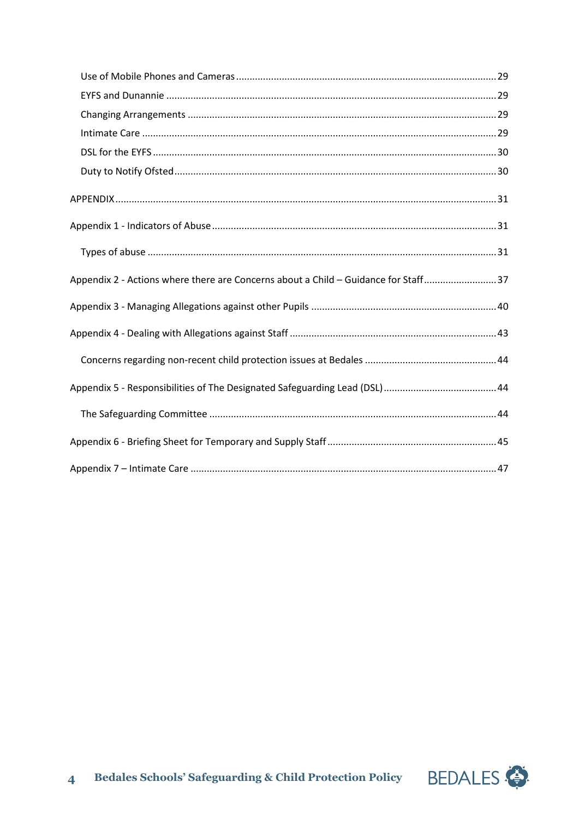| Appendix 2 - Actions where there are Concerns about a Child - Guidance for Staff37 |  |
|------------------------------------------------------------------------------------|--|
|                                                                                    |  |
|                                                                                    |  |
|                                                                                    |  |
|                                                                                    |  |
|                                                                                    |  |
|                                                                                    |  |
|                                                                                    |  |

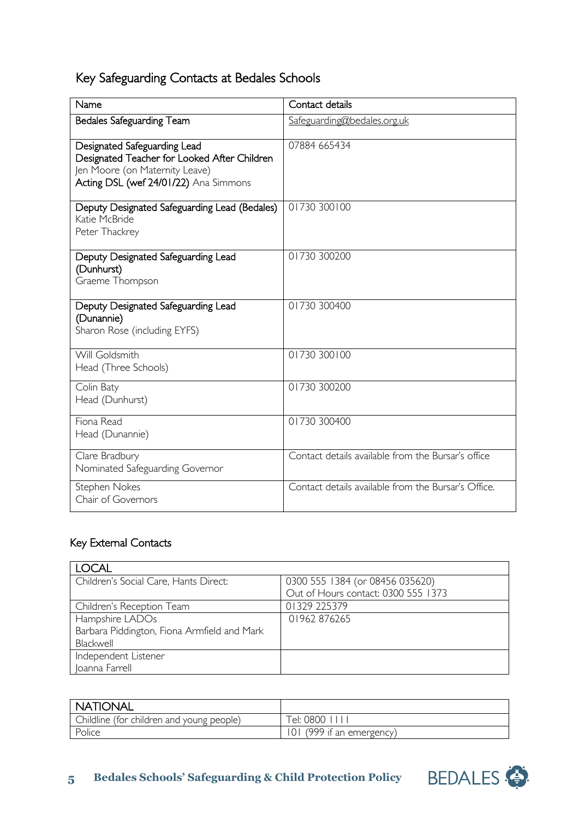## <span id="page-4-0"></span>Key Safeguarding Contacts at Bedales Schools

| Name                                                                                                                                                    | Contact details                                     |
|---------------------------------------------------------------------------------------------------------------------------------------------------------|-----------------------------------------------------|
| Bedales Safeguarding Team                                                                                                                               | Safeguarding@bedales.org.uk                         |
| Designated Safeguarding Lead<br>Designated Teacher for Looked After Children<br>Jen Moore (on Maternity Leave)<br>Acting DSL (wef 24/01/22) Ana Simmons | 07884 665434                                        |
| Deputy Designated Safeguarding Lead (Bedales)<br>Katie McBride<br>Peter Thackrey                                                                        | 01730 300100                                        |
| Deputy Designated Safeguarding Lead<br>(Dunhurst)<br>Graeme Thompson                                                                                    | 01730 300200                                        |
| Deputy Designated Safeguarding Lead<br>(Dunannie)<br>Sharon Rose (including EYFS)                                                                       | 01730 300400                                        |
| Will Goldsmith<br>Head (Three Schools)                                                                                                                  | 01730 300100                                        |
| Colin Baty<br>Head (Dunhurst)                                                                                                                           | 01730 300200                                        |
| Fiona Read<br>Head (Dunannie)                                                                                                                           | 01730 300400                                        |
| Clare Bradbury<br>Nominated Safeguarding Governor                                                                                                       | Contact details available from the Bursar's office  |
| Stephen Nokes<br>Chair of Governors                                                                                                                     | Contact details available from the Bursar's Office. |

## <span id="page-4-1"></span>Key External Contacts

| <b>LOCAL</b>                                |                                     |
|---------------------------------------------|-------------------------------------|
| Children's Social Care, Hants Direct:       | 0300 555 1384 (or 08456 035620)     |
|                                             | Out of Hours contact: 0300 555 1373 |
| Children's Reception Team                   | 01329 225379                        |
| Hampshire LADOs                             | 01962876265                         |
| Barbara Piddington, Fiona Armfield and Mark |                                     |
| Blackwell                                   |                                     |
| Independent Listener                        |                                     |
| Joanna Farrell                              |                                     |

| <b>NATIONAL</b>                           |                            |
|-------------------------------------------|----------------------------|
| Childline (for children and young people) | Tel: 0800                  |
| Police                                    | July (999 if an emergency) |

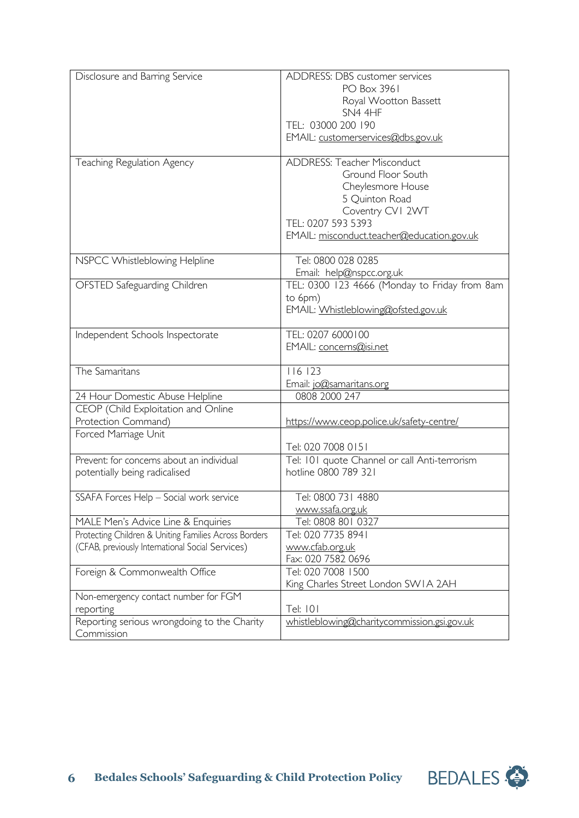| Disclosure and Barring Service<br>TEL: 03000 200 190<br>Teaching Regulation Agency<br>NSPCC Whistleblowing Helpline<br>OFSTED Safeguarding Children<br>to 6pm)<br>TEL: 0207 6000100<br>Independent Schools Inspectorate<br>116 123<br>The Samaritans<br>24 Hour Domestic Abuse Helpline<br>0808 2000 247<br>CEOP (Child Exploitation and Online<br>Protection Command)<br>Forced Marriage Unit<br>Tel: 020 7008 0151<br>Prevent: for concerns about an individual<br>potentially being radicalised<br>SSAFA Forces Help - Social work service<br>MALE Men's Advice Line & Enquiries<br>Protecting Children & Uniting Families Across Borders<br>(CFAB, previously International Social Services)<br>www.cfab.org.uk<br>Tel: 020 7008 1500<br>Foreign & Commonwealth Office<br>Non-emergency contact number for FGM | ADDRESS: DBS customer services                                                     |
|--------------------------------------------------------------------------------------------------------------------------------------------------------------------------------------------------------------------------------------------------------------------------------------------------------------------------------------------------------------------------------------------------------------------------------------------------------------------------------------------------------------------------------------------------------------------------------------------------------------------------------------------------------------------------------------------------------------------------------------------------------------------------------------------------------------------|------------------------------------------------------------------------------------|
|                                                                                                                                                                                                                                                                                                                                                                                                                                                                                                                                                                                                                                                                                                                                                                                                                    | <b>PO Box 3961</b>                                                                 |
|                                                                                                                                                                                                                                                                                                                                                                                                                                                                                                                                                                                                                                                                                                                                                                                                                    | Royal Wootton Bassett                                                              |
|                                                                                                                                                                                                                                                                                                                                                                                                                                                                                                                                                                                                                                                                                                                                                                                                                    | SN4 4HF                                                                            |
|                                                                                                                                                                                                                                                                                                                                                                                                                                                                                                                                                                                                                                                                                                                                                                                                                    |                                                                                    |
|                                                                                                                                                                                                                                                                                                                                                                                                                                                                                                                                                                                                                                                                                                                                                                                                                    |                                                                                    |
|                                                                                                                                                                                                                                                                                                                                                                                                                                                                                                                                                                                                                                                                                                                                                                                                                    | EMAIL: customerservices@dbs.gov.uk                                                 |
|                                                                                                                                                                                                                                                                                                                                                                                                                                                                                                                                                                                                                                                                                                                                                                                                                    | <b>ADDRESS: Teacher Misconduct</b>                                                 |
|                                                                                                                                                                                                                                                                                                                                                                                                                                                                                                                                                                                                                                                                                                                                                                                                                    | Ground Floor South                                                                 |
|                                                                                                                                                                                                                                                                                                                                                                                                                                                                                                                                                                                                                                                                                                                                                                                                                    | Cheylesmore House                                                                  |
|                                                                                                                                                                                                                                                                                                                                                                                                                                                                                                                                                                                                                                                                                                                                                                                                                    | 5 Quinton Road                                                                     |
|                                                                                                                                                                                                                                                                                                                                                                                                                                                                                                                                                                                                                                                                                                                                                                                                                    | Coventry CVI 2WT                                                                   |
|                                                                                                                                                                                                                                                                                                                                                                                                                                                                                                                                                                                                                                                                                                                                                                                                                    | TEL: 0207 593 5393                                                                 |
|                                                                                                                                                                                                                                                                                                                                                                                                                                                                                                                                                                                                                                                                                                                                                                                                                    | EMAIL: misconduct.teacher@education.gov.uk                                         |
|                                                                                                                                                                                                                                                                                                                                                                                                                                                                                                                                                                                                                                                                                                                                                                                                                    |                                                                                    |
|                                                                                                                                                                                                                                                                                                                                                                                                                                                                                                                                                                                                                                                                                                                                                                                                                    | Tel: 0800 028 0285                                                                 |
|                                                                                                                                                                                                                                                                                                                                                                                                                                                                                                                                                                                                                                                                                                                                                                                                                    | Email: help@nspcc.org.uk                                                           |
|                                                                                                                                                                                                                                                                                                                                                                                                                                                                                                                                                                                                                                                                                                                                                                                                                    | TEL: 0300 123 4666 (Monday to Friday from 8am                                      |
|                                                                                                                                                                                                                                                                                                                                                                                                                                                                                                                                                                                                                                                                                                                                                                                                                    |                                                                                    |
|                                                                                                                                                                                                                                                                                                                                                                                                                                                                                                                                                                                                                                                                                                                                                                                                                    | EMAIL: Whistleblowing@ofsted.gov.uk                                                |
|                                                                                                                                                                                                                                                                                                                                                                                                                                                                                                                                                                                                                                                                                                                                                                                                                    |                                                                                    |
|                                                                                                                                                                                                                                                                                                                                                                                                                                                                                                                                                                                                                                                                                                                                                                                                                    |                                                                                    |
|                                                                                                                                                                                                                                                                                                                                                                                                                                                                                                                                                                                                                                                                                                                                                                                                                    | EMAIL: concerns@isi.net                                                            |
|                                                                                                                                                                                                                                                                                                                                                                                                                                                                                                                                                                                                                                                                                                                                                                                                                    |                                                                                    |
|                                                                                                                                                                                                                                                                                                                                                                                                                                                                                                                                                                                                                                                                                                                                                                                                                    |                                                                                    |
|                                                                                                                                                                                                                                                                                                                                                                                                                                                                                                                                                                                                                                                                                                                                                                                                                    | Email: jo@samaritans.org                                                           |
|                                                                                                                                                                                                                                                                                                                                                                                                                                                                                                                                                                                                                                                                                                                                                                                                                    |                                                                                    |
|                                                                                                                                                                                                                                                                                                                                                                                                                                                                                                                                                                                                                                                                                                                                                                                                                    |                                                                                    |
|                                                                                                                                                                                                                                                                                                                                                                                                                                                                                                                                                                                                                                                                                                                                                                                                                    | https://www.ceop.police.uk/safety-centre/                                          |
|                                                                                                                                                                                                                                                                                                                                                                                                                                                                                                                                                                                                                                                                                                                                                                                                                    |                                                                                    |
|                                                                                                                                                                                                                                                                                                                                                                                                                                                                                                                                                                                                                                                                                                                                                                                                                    |                                                                                    |
|                                                                                                                                                                                                                                                                                                                                                                                                                                                                                                                                                                                                                                                                                                                                                                                                                    | Tel: 101 quote Channel or call Anti-terrorism                                      |
|                                                                                                                                                                                                                                                                                                                                                                                                                                                                                                                                                                                                                                                                                                                                                                                                                    | hotline 0800 789 321                                                               |
|                                                                                                                                                                                                                                                                                                                                                                                                                                                                                                                                                                                                                                                                                                                                                                                                                    |                                                                                    |
|                                                                                                                                                                                                                                                                                                                                                                                                                                                                                                                                                                                                                                                                                                                                                                                                                    | Tel: 0800 731 4880                                                                 |
|                                                                                                                                                                                                                                                                                                                                                                                                                                                                                                                                                                                                                                                                                                                                                                                                                    | www.ssafa.org.uk                                                                   |
|                                                                                                                                                                                                                                                                                                                                                                                                                                                                                                                                                                                                                                                                                                                                                                                                                    | Tel: 0808 801 0327                                                                 |
|                                                                                                                                                                                                                                                                                                                                                                                                                                                                                                                                                                                                                                                                                                                                                                                                                    | Tel: 020 7735 8941                                                                 |
|                                                                                                                                                                                                                                                                                                                                                                                                                                                                                                                                                                                                                                                                                                                                                                                                                    |                                                                                    |
|                                                                                                                                                                                                                                                                                                                                                                                                                                                                                                                                                                                                                                                                                                                                                                                                                    | Fax: 020 7582 0696                                                                 |
|                                                                                                                                                                                                                                                                                                                                                                                                                                                                                                                                                                                                                                                                                                                                                                                                                    |                                                                                    |
|                                                                                                                                                                                                                                                                                                                                                                                                                                                                                                                                                                                                                                                                                                                                                                                                                    |                                                                                    |
|                                                                                                                                                                                                                                                                                                                                                                                                                                                                                                                                                                                                                                                                                                                                                                                                                    |                                                                                    |
| Tel: 101                                                                                                                                                                                                                                                                                                                                                                                                                                                                                                                                                                                                                                                                                                                                                                                                           |                                                                                    |
|                                                                                                                                                                                                                                                                                                                                                                                                                                                                                                                                                                                                                                                                                                                                                                                                                    |                                                                                    |
| Commission                                                                                                                                                                                                                                                                                                                                                                                                                                                                                                                                                                                                                                                                                                                                                                                                         |                                                                                    |
| reporting<br>Reporting serious wrongdoing to the Charity                                                                                                                                                                                                                                                                                                                                                                                                                                                                                                                                                                                                                                                                                                                                                           | King Charles Street London SWIA 2AH<br>whistleblowing@charitycommission.gsi.gov.uk |

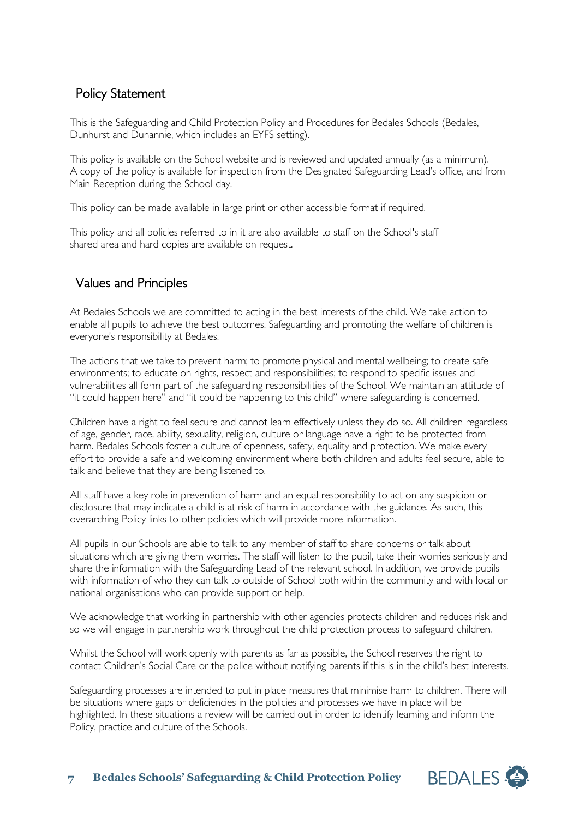## <span id="page-6-0"></span>Policy Statement

This is the Safeguarding and Child Protection Policy and Procedures for Bedales Schools (Bedales, Dunhurst and Dunannie, which includes an EYFS setting).

This policy is available on the School website and is reviewed and updated annually (as a minimum). A copy of the policy is available for inspection from the Designated Safeguarding Lead's office, and from Main Reception during the School day.

This policy can be made available in large print or other accessible format if required.

This policy and all policies referred to in it are also available to staff on the School's staff shared area and hard copies are available on request.

## <span id="page-6-1"></span>Values and Principles

At Bedales Schools we are committed to acting in the best interests of the child. We take action to enable all pupils to achieve the best outcomes. Safeguarding and promoting the welfare of children is everyone's responsibility at Bedales.

The actions that we take to prevent harm; to promote physical and mental wellbeing; to create safe environments; to educate on rights, respect and responsibilities; to respond to specific issues and vulnerabilities all form part of the safeguarding responsibilities of the School. We maintain an attitude of "it could happen here" and "it could be happening to this child" where safeguarding is concerned.

Children have a right to feel secure and cannot learn effectively unless they do so. All children regardless of age, gender, race, ability, sexuality, religion, culture or language have a right to be protected from harm. Bedales Schools foster a culture of openness, safety, equality and protection. We make every effort to provide a safe and welcoming environment where both children and adults feel secure, able to talk and believe that they are being listened to.

All staff have a key role in prevention of harm and an equal responsibility to act on any suspicion or disclosure that may indicate a child is at risk of harm in accordance with the guidance. As such, this overarching Policy links to other policies which will provide more information.

All pupils in our Schools are able to talk to any member of staff to share concerns or talk about situations which are giving them worries. The staff will listen to the pupil, take their worries seriously and share the information with the Safeguarding Lead of the relevant school. In addition, we provide pupils with information of who they can talk to outside of School both within the community and with local or national organisations who can provide support or help.

We acknowledge that working in partnership with other agencies protects children and reduces risk and so we will engage in partnership work throughout the child protection process to safeguard children.

Whilst the School will work openly with parents as far as possible, the School reserves the right to contact Children's Social Care or the police without notifying parents if this is in the child's best interests.

Safeguarding processes are intended to put in place measures that minimise harm to children. There will be situations where gaps or deficiencies in the policies and processes we have in place will be highlighted. In these situations a review will be carried out in order to identify learning and inform the Policy, practice and culture of the Schools.

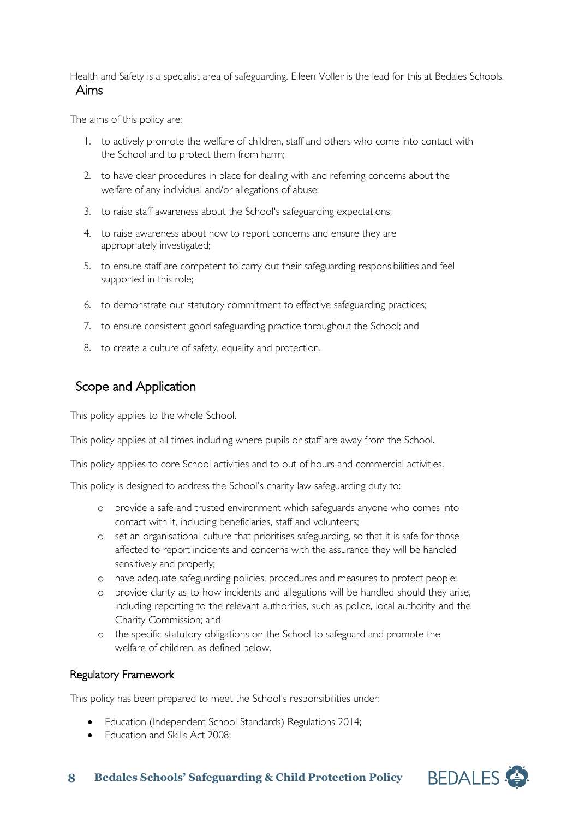<span id="page-7-0"></span>Health and Safety is a specialist area of safeguarding. Eileen Voller is the lead for this at Bedales Schools. Aims

The aims of this policy are:

- 1. to actively promote the welfare of children, staff and others who come into contact with the School and to protect them from harm;
- 2. to have clear procedures in place for dealing with and referring concerns about the welfare of any individual and/or allegations of abuse;
- 3. to raise staff awareness about the School's safeguarding expectations;
- 4. to raise awareness about how to report concerns and ensure they are appropriately investigated;
- 5. to ensure staff are competent to carry out their safeguarding responsibilities and feel supported in this role;
- 6. to demonstrate our statutory commitment to effective safeguarding practices;
- 7. to ensure consistent good safeguarding practice throughout the School; and
- 8. to create a culture of safety, equality and protection.

#### <span id="page-7-1"></span>Scope and Application

This policy applies to the whole School.

This policy applies at all times including where pupils or staff are away from the School.

This policy applies to core School activities and to out of hours and commercial activities.

This policy is designed to address the School's charity law safeguarding duty to:

- o provide a safe and trusted environment which safeguards anyone who comes into contact with it, including beneficiaries, staff and volunteers;
- o set an organisational culture that prioritises safeguarding, so that it is safe for those affected to report incidents and concerns with the assurance they will be handled sensitively and properly;
- o have adequate safeguarding policies, procedures and measures to protect people;
- o provide clarity as to how incidents and allegations will be handled should they arise, including reporting to the relevant authorities, such as police, local authority and the Charity Commission; and
- o the specific statutory obligations on the School to safeguard and promote the welfare of children, as defined below.

#### <span id="page-7-2"></span>Regulatory Framework

This policy has been prepared to meet the School's responsibilities under:

- Education (Independent School Standards) Regulations 2014;
- Education and Skills Act 2008:

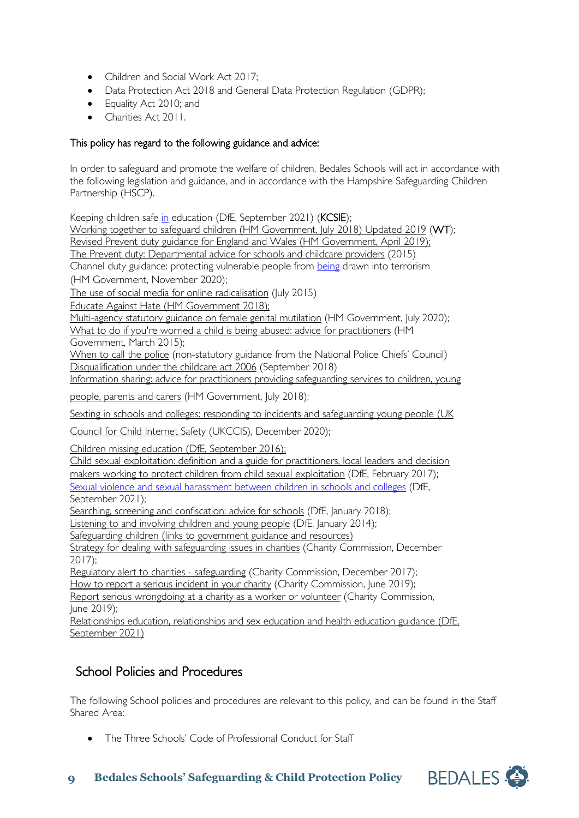- Children and Social Work Act 2017;
- Data Protection Act 2018 and General Data Protection Regulation (GDPR);
- Equality Act 2010; and
- Charities Act 2011.

#### <span id="page-8-0"></span>This policy has regard to the following guidance and advice:

In order to safeguard and promote the welfare of children, Bedales Schools will act in accordance with the following legislation and guidance, and in accordance with the Hampshire Safeguarding Children Partnership (HSCP).

Keeping children safe [in](https://assets.publishing.service.gov.uk/government/uploads/system/uploads/attachment_data/file/1014057/KCSIE_2021_September.pdf) education (DfE, September 2021) (KCSIE);

[Working together to safeguard children \(HM Government, July 2018\) Updated 2019](https://assets.publishing.service.gov.uk/government/uploads/system/uploads/attachment_data/file/779401/Working_Together_to_Safeguard-Children.pdf) (WT); Revised Prevent duty guidance [for England and Wales \(HM Government, April 2019\);](https://www.gov.uk/government/publications/prevent-duty-guidance/revised-prevent-duty-guidance-for-england-and-wales)

[The Prevent duty: Departmental advice for schools and childcare providers](https://assets.publishing.service.gov.uk/government/uploads/system/uploads/attachment_data/file/439598/prevent-duty-departmental-advice-v6.pdf) (2015)

Channel duty guidance: protecting vulnerable people from [being](https://assets.publishing.service.gov.uk/government/uploads/system/uploads/attachment_data/file/964567/6.6271_HO_HMG_Channel_Duty_Guidance_v14_Web.pdf) drawn into terrorism (HM Government, November 2020);

[The use of social media for online radicalisation](https://www.gov.uk/government/publications/the-use-of-social-media-for-online-radicalisation) (July 2015)

[Educate Against Hate \(HM Government 2018\);](https://educateagainsthate.com/category/school-leaders/government-guidance-school-leaders/)

[Multi-agency statutory guidance on female genital mutilation](https://assets.publishing.service.gov.uk/government/uploads/system/uploads/attachment_data/file/912996/6-1914-HO-Multi_Agency_Statutory_Guidance_on_FGM__-_MASTER_V7_-_FINAL__July_2020.pdf) (HM Government, July 2020); [What to do if you're worried a child is being abused: advice for practitioners](https://assets.publishing.service.gov.uk/government/uploads/system/uploads/attachment_data/file/419604/What_to_do_if_you_re_worried_a_child_is_being_abused.pdf) (HM

Government, March 2015);

[When to call the police](https://www.npcc.police.uk/documents/Children%20and%20Young%20people/When%20to%20call%20the%20police%20guidance%20for%20schools%20and%20colleges.pdf) (non-statutory guidance from the National Police Chiefs' Council) [Disqualification under the childcare act 2006](https://www.gov.uk/government/publications/disqualification-under-the-childcare-act-2006/disqualification-under-the-childcare-act-2006) (September 2018)

[Information sharing: advice for practitioners providing safeguarding services to children, young](https://assets.publishing.service.gov.uk/government/uploads/system/uploads/attachment_data/file/721581/Information_sharing_advice_practitioners_safeguarding_services.pdf) 

[people, parents and carers](https://assets.publishing.service.gov.uk/government/uploads/system/uploads/attachment_data/file/721581/Information_sharing_advice_practitioners_safeguarding_services.pdf) (HM Government, July 2018);

[Sexting in schools and colleges: responding to incidents and safeguarding young people \(UK](https://assets.publishing.service.gov.uk/government/uploads/system/uploads/attachment_data/file/759007/6_2939_SP_NCA_Sexting_In_Schools_FINAL_Update_Jan17.pdf) 

[Council for Child Internet Safety](https://assets.publishing.service.gov.uk/government/uploads/system/uploads/attachment_data/file/759007/6_2939_SP_NCA_Sexting_In_Schools_FINAL_Update_Jan17.pdf) (UKCCIS), December 2020);

[Children missing education \(DfE, September 2016\);](https://assets.publishing.service.gov.uk/government/uploads/system/uploads/attachment_data/file/550416/Children_Missing_Education_-_statutory_guidance.pdf)

[Child sexual exploitation: definition and a guide for practitioners, local leaders and decision](https://assets.publishing.service.gov.uk/government/uploads/system/uploads/attachment_data/file/591903/CSE_Guidance_Core_Document_13.02.2017.pdf)  [makers working to protect children from child sexual exploitation](https://assets.publishing.service.gov.uk/government/uploads/system/uploads/attachment_data/file/591903/CSE_Guidance_Core_Document_13.02.2017.pdf) (DfE, February 2017); [Sexual violence and sexual harassment between children in schools and colleges](https://assets.publishing.service.gov.uk/government/uploads/system/uploads/attachment_data/file/1014224/Sexual_violence_and_sexual_harassment_between_children_in_schools_and_colleges.pdf) (DfE, September 2021);

[Searching, screening and confiscation: advice for schools](https://assets.publishing.service.gov.uk/government/uploads/system/uploads/attachment_data/file/674416/Searching_screening_and_confiscation.pdf) (DfE, January 2018);

[Listening to and involving children and young people](https://irp-cdn.multiscreensite.com/ca37443c/files/uploaded/Listening%20to%20and%20involving%20children%20and%20young%20people.pdf) (DfE, January 2014);

[Safeguarding children \(links to government guidance and resources\)](https://www.gov.uk/topic/schools-colleges-childrens-services/safeguarding-children)

[Strategy for dealing with safeguarding issues in charities](https://www.gov.uk/government/publications/strategy-for-dealing-with-safeguarding-issues-in-charities/strategy-for-dealing-with-safeguarding-issues-in-charities) (Charity Commission, December 2017);

[Regulatory alert to charities -](https://www.gov.uk/government/news/regulatory-alert-to-charities-safeguarding) safeguarding (Charity Commission, December 2017); [How to report a serious incident in your charity](https://www.gov.uk/guidance/how-to-report-a-serious-incident-in-your-charity) (Charity Commission, June 2019); [Report serious wrongdoing at a charity as a worker or volunteer](https://www.gov.uk/guidance/report-serious-wrongdoing-at-a-charity-as-a-worker-or-volunteer) (Charity Commission,

June 2019);

[Relationships education, relationships and sex education and health education guidance](https://www.gov.uk/government/publications/relationships-education-relationships-and-sex-education-rse-and-health-education) (DfE, September 2021)

## <span id="page-8-1"></span>School Policies and Procedures

The following School policies and procedures are relevant to this policy, and can be found in the Staff Shared Area:

• The Three Schools' Code of Professional Conduct for Staff

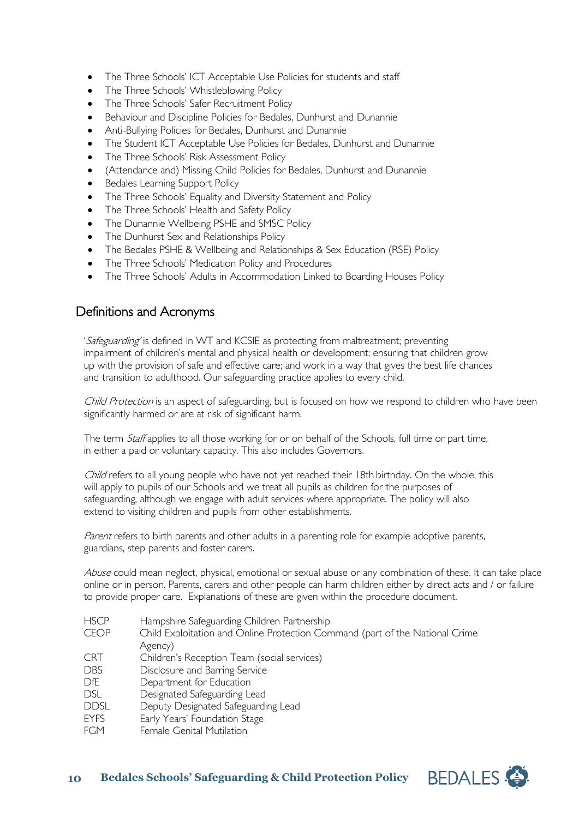- The Three Schools' ICT Acceptable Use Policies for students and staff
- The Three Schools' Whistleblowing Policy
- The Three Schools' Safer Recruitment Policy
- Behaviour and Discipline Policies for Bedales, Dunhurst and Dunannie
- Anti-Bullying Policies for Bedales, Dunhurst and Dunannie
- The Student ICT Acceptable Use Policies for Bedales, Dunhurst and Dunannie
- The Three Schools' Risk Assessment Policy
- (Attendance and) Missing Child Policies for Bedales, Dunhurst and Dunannie
- Bedales Learning Support Policy
- The Three Schools' Equality and Diversity Statement and Policy
- The Three Schools' Health and Safety Policy
- The Dunannie Wellbeing PSHE and SMSC Policy
- The Dunhurst Sex and Relationships Policy
- The Bedales PSHE & Wellbeing and Relationships & Sex Education (RSE) Policy
- The Three Schools' Medication Policy and Procedures
- The Three Schools' Adults in Accommodation Linked to Boarding Houses Policy

## <span id="page-9-0"></span>Definitions and Acronyms

'Safeguarding' is defined in WT and KCSIE as protecting from maltreatment; preventing impairment of children's mental and physical health or development; ensuring that children grow up with the provision of safe and effective care; and work in a way that gives the best life chances and transition to adulthood. Our safeguarding practice applies to every child.

Child Protection is an aspect of safeguarding, but is focused on how we respond to children who have been significantly harmed or are at risk of significant harm.

The term *Staff* applies to all those working for or on behalf of the Schools, full time or part time, in either a paid or voluntary capacity. This also includes Governors.

Child refers to all young people who have not yet reached their 18th birthday. On the whole, this will apply to pupils of our Schools and we treat all pupils as children for the purposes of safeguarding, although we engage with adult services where appropriate. The policy will also extend to visiting children and pupils from other establishments.

Parent refers to birth parents and other adults in a parenting role for example adoptive parents, guardians, step parents and foster carers.

Abuse could mean neglect, physical, emotional or sexual abuse or any combination of these. It can take place online or in person. Parents, carers and other people can harm children either by direct acts and / or failure to provide proper care. Explanations of these are given within the procedure document.

HSCP Hampshire Safeguarding Children Partnership CEOP Child Exploitation and Online Protection Command (part of the National Crime Agency) CRT Children's Reception Team (social services) DBS Disclosure and Barring Service DfE Department for Education DSL Designated Safeguarding Lead DDSL Deputy Designated Safeguarding Lead EYFS Early Years' Foundation Stage FGM Female Genital Mutilation

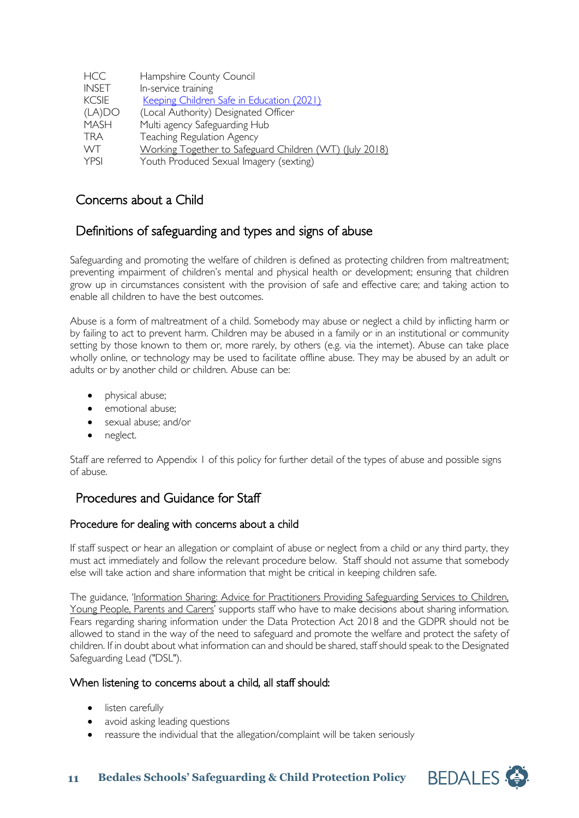| <b>HCC</b>   | Hampshire County Council                                |
|--------------|---------------------------------------------------------|
| <b>INSET</b> | In-service training                                     |
| <b>KCSIE</b> | Keeping Children Safe in Education (2021)               |
| (LA)DO       | (Local Authority) Designated Officer                    |
| <b>MASH</b>  | Multi agency Safeguarding Hub                           |
| <b>TRA</b>   | Teaching Regulation Agency                              |
| WT           | Working Together to Safeguard Children (WT) (July 2018) |
| YPSI         | Youth Produced Sexual Imagery (sexting)                 |

## <span id="page-10-0"></span>Concerns about a Child

## <span id="page-10-1"></span>Definitions of safeguarding and types and signs of abuse

Safeguarding and promoting the welfare of children is defined as protecting children from maltreatment; preventing impairment of children's mental and physical health or development; ensuring that children grow up in circumstances consistent with the provision of safe and effective care; and taking action to enable all children to have the best outcomes.

Abuse is a form of maltreatment of a child. Somebody may abuse or neglect a child by inflicting harm or by failing to act to prevent harm. Children may be abused in a family or in an institutional or community setting by those known to them or, more rarely, by others (e.g. via the internet). Abuse can take place wholly online, or technology may be used to facilitate offline abuse. They may be abused by an adult or adults or by another child or children. Abuse can be:

- physical abuse;
- emotional abuse;
- sexual abuse: and/or
- neglect.

Staff are referred to Appendix 1 of this policy for further detail of the types of abuse and possible signs of abuse.

## <span id="page-10-2"></span>Procedures and Guidance for Staff

#### <span id="page-10-3"></span>Procedure for dealing with concerns about a child

If staff suspect or hear an allegation or complaint of abuse or neglect from a child or any third party, they must act immediately and follow the relevant procedure below. Staff should not assume that somebody else will take action and share information that might be critical in keeping children safe.

The guidance, ['Information Sharing: Advice for Practitioners Providing Safeguarding Services to Children,](https://assets.publishing.service.gov.uk/government/uploads/system/uploads/attachment_data/file/721581/Information_sharing_advice_practitioners_safeguarding_services.pdf)  [Young People, Parents and Carers'](https://assets.publishing.service.gov.uk/government/uploads/system/uploads/attachment_data/file/721581/Information_sharing_advice_practitioners_safeguarding_services.pdf) supports staff who have to make decisions about sharing information. Fears regarding sharing information under the Data Protection Act 2018 and the GDPR should not be allowed to stand in the way of the need to safeguard and promote the welfare and protect the safety of children. If in doubt about what information can and should be shared, staff should speak to the Designated Safeguarding Lead ("DSL").

#### <span id="page-10-4"></span>When listening to concerns about a child, all staff should:

- listen carefully
- avoid asking leading questions
- reassure the individual that the allegation/complaint will be taken seriously

#### **11 Bedales Schools' Safeguarding & Child Protection Policy**

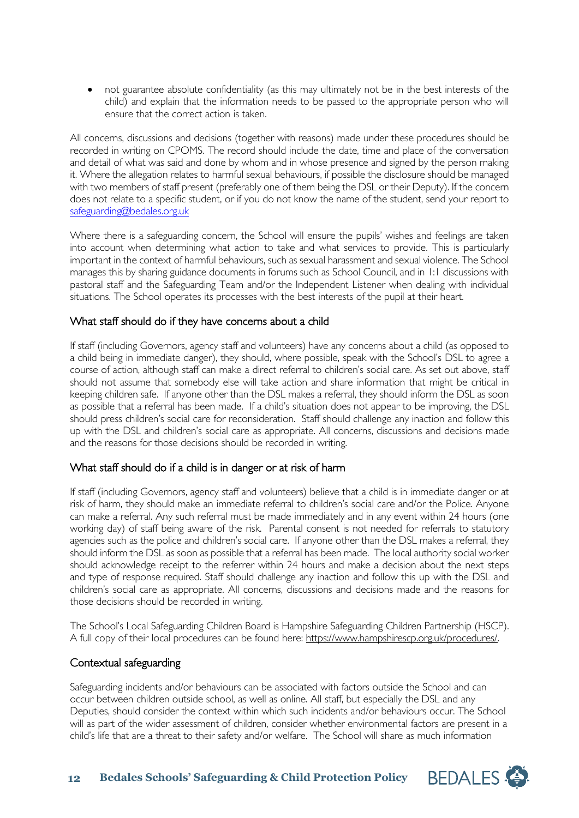• not guarantee absolute confidentiality (as this may ultimately not be in the best interests of the child) and explain that the information needs to be passed to the appropriate person who will ensure that the correct action is taken.

All concerns, discussions and decisions (together with reasons) made under these procedures should be recorded in writing on CPOMS. The record should include the date, time and place of the conversation and detail of what was said and done by whom and in whose presence and signed by the person making it. Where the allegation relates to harmful sexual behaviours, if possible the disclosure should be managed with two members of staff present (preferably one of them being the DSL or their Deputy). If the concern does not relate to a specific student, or if you do not know the name of the student, send your report to [safeguarding@bedales.org.uk](mailto:safeguarding@bedales.org.uk)

Where there is a safeguarding concern, the School will ensure the pupils' wishes and feelings are taken into account when determining what action to take and what services to provide. This is particularly important in the context of harmful behaviours, such as sexual harassment and sexual violence. The School manages this by sharing guidance documents in forums such as School Council, and in 1:1 discussions with pastoral staff and the Safeguarding Team and/or the Independent Listener when dealing with individual situations. The School operates its processes with the best interests of the pupil at their heart.

#### <span id="page-11-0"></span>What staff should do if they have concerns about a child

If staff (including Governors, agency staff and volunteers) have any concerns about a child (as opposed to a child being in immediate danger), they should, where possible, speak with the School's DSL to agree a course of action, although staff can make a direct referral to children's social care. As set out above, staff should not assume that somebody else will take action and share information that might be critical in keeping children safe. If anyone other than the DSL makes a referral, they should inform the DSL as soon as possible that a referral has been made. If a child's situation does not appear to be improving, the DSL should press children's social care for reconsideration. Staff should challenge any inaction and follow this up with the DSL and children's social care as appropriate. All concerns, discussions and decisions made and the reasons for those decisions should be recorded in writing.

#### <span id="page-11-1"></span>What staff should do if a child is in danger or at risk of harm

If staff (including Governors, agency staff and volunteers) believe that a child is in immediate danger or at risk of harm, they should make an immediate referral to children's social care and/or the Police. Anyone can make a referral. Any such referral must be made immediately and in any event within 24 hours (one working day) of staff being aware of the risk. Parental consent is not needed for referrals to statutory agencies such as the police and children's social care. If anyone other than the DSL makes a referral, they should inform the DSL as soon as possible that a referral has been made. The local authority social worker should acknowledge receipt to the referrer within 24 hours and make a decision about the next steps and type of response required. Staff should challenge any inaction and follow this up with the DSL and children's social care as appropriate. All concerns, discussions and decisions made and the reasons for those decisions should be recorded in writing.

The School's Local Safeguarding Children Board is Hampshire Safeguarding Children Partnership (HSCP). A full copy of their local procedures can be found here: [https://www.hampshirescp.org.uk/procedures/.](https://www.hampshirescp.org.uk/procedures/)

#### <span id="page-11-2"></span>Contextual safeguarding

Safeguarding incidents and/or behaviours can be associated with factors outside the School and can occur between children outside school, as well as online. All staff, but especially the DSL and any Deputies, should consider the context within which such incidents and/or behaviours occur. The School will as part of the wider assessment of children, consider whether environmental factors are present in a child's life that are a threat to their safety and/or welfare. The School will share as much information

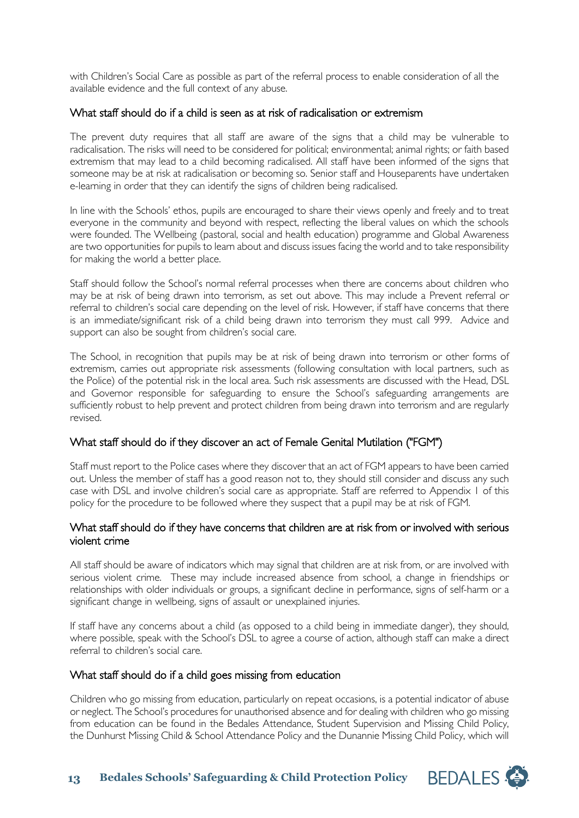with Children's Social Care as possible as part of the referral process to enable consideration of all the available evidence and the full context of any abuse.

#### <span id="page-12-0"></span>What staff should do if a child is seen as at risk of radicalisation or extremism

The prevent duty requires that all staff are aware of the signs that a child may be vulnerable to radicalisation. The risks will need to be considered for political; environmental; animal rights; or faith based extremism that may lead to a child becoming radicalised. All staff have been informed of the signs that someone may be at risk at radicalisation or becoming so. Senior staff and Houseparents have undertaken e-learning in order that they can identify the signs of children being radicalised.

In line with the Schools' ethos, pupils are encouraged to share their views openly and freely and to treat everyone in the community and beyond with respect, reflecting the liberal values on which the schools were founded. The Wellbeing (pastoral, social and health education) programme and Global Awareness are two opportunities for pupils to learn about and discuss issues facing the world and to take responsibility for making the world a better place.

Staff should follow the School's normal referral processes when there are concerns about children who may be at risk of being drawn into terrorism, as set out above. This may include a Prevent referral or referral to children's social care depending on the level of risk. However, if staff have concerns that there is an immediate/significant risk of a child being drawn into terrorism they must call 999. Advice and support can also be sought from children's social care.

The School, in recognition that pupils may be at risk of being drawn into terrorism or other forms of extremism, carries out appropriate risk assessments (following consultation with local partners, such as the Police) of the potential risk in the local area. Such risk assessments are discussed with the Head, DSL and Governor responsible for safeguarding to ensure the School's safeguarding arrangements are sufficiently robust to help prevent and protect children from being drawn into terrorism and are regularly revised.

#### <span id="page-12-1"></span>What staff should do if they discover an act of Female Genital Mutilation ("FGM")

Staff must report to the Police cases where they discover that an act of FGM appears to have been carried out. Unless the member of staff has a good reason not to, they should still consider and discuss any such case with DSL and involve children's social care as appropriate. Staff are referred to Appendix 1 of this policy for the procedure to be followed where they suspect that a pupil may be at risk of FGM.

#### <span id="page-12-2"></span>What staff should do if they have concerns that children are at risk from or involved with serious violent crime

All staff should be aware of indicators which may signal that children are at risk from, or are involved with serious violent crime. These may include increased absence from school, a change in friendships or relationships with older individuals or groups, a significant decline in performance, signs of self-harm or a significant change in wellbeing, signs of assault or unexplained injuries.

If staff have any concerns about a child (as opposed to a child being in immediate danger), they should, where possible, speak with the School's DSL to agree a course of action, although staff can make a direct referral to children's social care.

#### <span id="page-12-3"></span>What staff should do if a child goes missing from education

Children who go missing from education, particularly on repeat occasions, is a potential indicator of abuse or neglect. The School's procedures for unauthorised absence and for dealing with children who go missing from education can be found in the Bedales Attendance, Student Supervision and Missing Child Policy, the Dunhurst Missing Child & School Attendance Policy and the Dunannie Missing Child Policy, which will

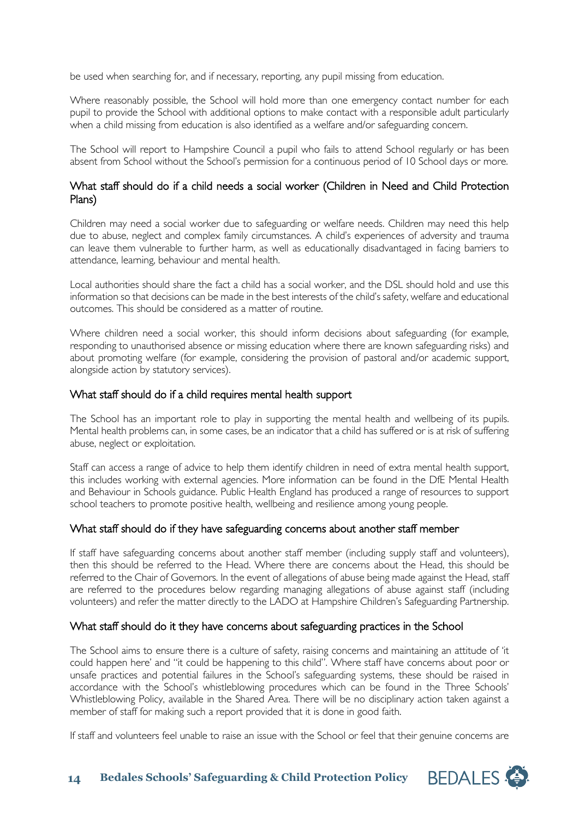be used when searching for, and if necessary, reporting, any pupil missing from education.

Where reasonably possible, the School will hold more than one emergency contact number for each pupil to provide the School with additional options to make contact with a responsible adult particularly when a child missing from education is also identified as a welfare and/or safeguarding concern.

The School will report to Hampshire Council a pupil who fails to attend School regularly or has been absent from School without the School's permission for a continuous period of 10 School days or more.

#### <span id="page-13-0"></span>What staff should do if a child needs a social worker (Children in Need and Child Protection Plans)

Children may need a social worker due to safeguarding or welfare needs. Children may need this help due to abuse, neglect and complex family circumstances. A child's experiences of adversity and trauma can leave them vulnerable to further harm, as well as educationally disadvantaged in facing barriers to attendance, learning, behaviour and mental health.

Local authorities should share the fact a child has a social worker, and the DSL should hold and use this information so that decisions can be made in the best interests of the child's safety, welfare and educational outcomes. This should be considered as a matter of routine.

Where children need a social worker, this should inform decisions about safeguarding (for example, responding to unauthorised absence or missing education where there are known safeguarding risks) and about promoting welfare (for example, considering the provision of pastoral and/or academic support, alongside action by statutory services).

#### <span id="page-13-1"></span>What staff should do if a child requires mental health support

The School has an important role to play in supporting the mental health and wellbeing of its pupils. Mental health problems can, in some cases, be an indicator that a child has suffered or is at risk of suffering abuse, neglect or exploitation.

Staff can access a range of advice to help them identify children in need of extra mental health support, this includes working with external agencies. More information can be found in the DfE Mental Health and Behaviour in Schools guidance. Public Health England has produced a range of resources to support school teachers to promote positive health, wellbeing and resilience among young people.

#### <span id="page-13-2"></span>What staff should do if they have safeguarding concerns about another staff member

If staff have safeguarding concerns about another staff member (including supply staff and volunteers), then this should be referred to the Head. Where there are concerns about the Head, this should be referred to the Chair of Governors. In the event of allegations of abuse being made against the Head, staff are referred to the procedures below regarding managing allegations of abuse against staff (including volunteers) and refer the matter directly to the LADO at Hampshire Children's Safeguarding Partnership.

#### <span id="page-13-3"></span>What staff should do it they have concerns about safeguarding practices in the School

The School aims to ensure there is a culture of safety, raising concerns and maintaining an attitude of 'it could happen here' and "it could be happening to this child". Where staff have concerns about poor or unsafe practices and potential failures in the School's safeguarding systems, these should be raised in accordance with the School's whistleblowing procedures which can be found in the Three Schools' Whistleblowing Policy, available in the Shared Area. There will be no disciplinary action taken against a member of staff for making such a report provided that it is done in good faith.

If staff and volunteers feel unable to raise an issue with the School or feel that their genuine concerns are

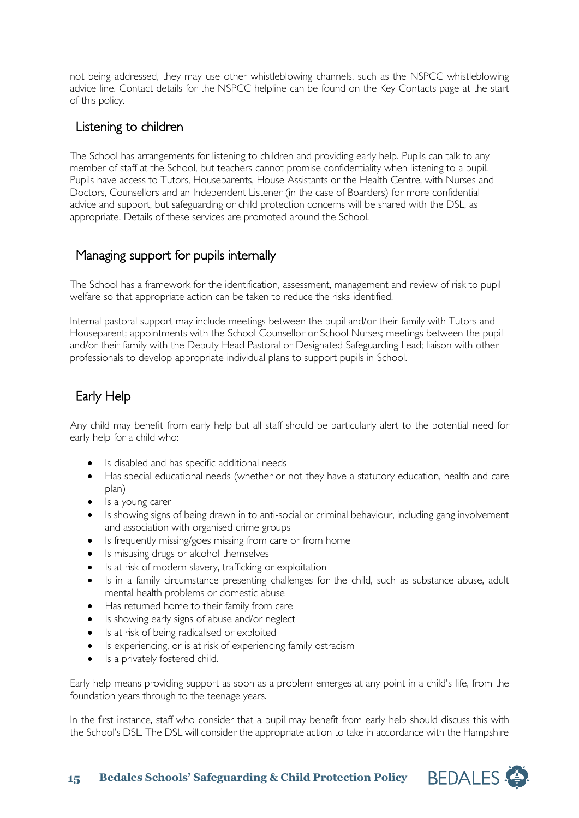not being addressed, they may use other whistleblowing channels, such as the NSPCC whistleblowing advice line. Contact details for the NSPCC helpline can be found on the Key Contacts page at the start of this policy.

## <span id="page-14-0"></span>Listening to children

The School has arrangements for listening to children and providing early help. Pupils can talk to any member of staff at the School, but teachers cannot promise confidentiality when listening to a pupil. Pupils have access to Tutors, Houseparents, House Assistants or the Health Centre, with Nurses and Doctors, Counsellors and an Independent Listener (in the case of Boarders) for more confidential advice and support, but safeguarding or child protection concerns will be shared with the DSL, as appropriate. Details of these services are promoted around the School.

## <span id="page-14-1"></span>Managing support for pupils internally

The School has a framework for the identification, assessment, management and review of risk to pupil welfare so that appropriate action can be taken to reduce the risks identified.

Internal pastoral support may include meetings between the pupil and/or their family with Tutors and Houseparent; appointments with the School Counsellor or School Nurses; meetings between the pupil and/or their family with the Deputy Head Pastoral or Designated Safeguarding Lead; liaison with other professionals to develop appropriate individual plans to support pupils in School.

## <span id="page-14-2"></span>Early Help

Any child may benefit from early help but all staff should be particularly alert to the potential need for early help for a child who:

- Is disabled and has specific additional needs
- Has special educational needs (whether or not they have a statutory education, health and care plan)
- Is a young carer
- Is showing signs of being drawn in to anti-social or criminal behaviour, including gang involvement and association with organised crime groups
- Is frequently missing/goes missing from care or from home
- Is misusing drugs or alcohol themselves
- Is at risk of modern slavery, trafficking or exploitation
- Is in a family circumstance presenting challenges for the child, such as substance abuse, adult mental health problems or domestic abuse
- Has returned home to their family from care
- Is showing early signs of abuse and/or neglect
- Is at risk of being radicalised or exploited
- Is experiencing, or is at risk of experiencing family ostracism
- Is a privately fostered child.

Early help means providing support as soon as a problem emerges at any point in a child's life, from the foundation years through to the teenage years.

In the first instance, staff who consider that a pupil may benefit from early help should discuss this with the School's DSL. The DSL will consider the appropriate action to take in accordance with the Hampshire

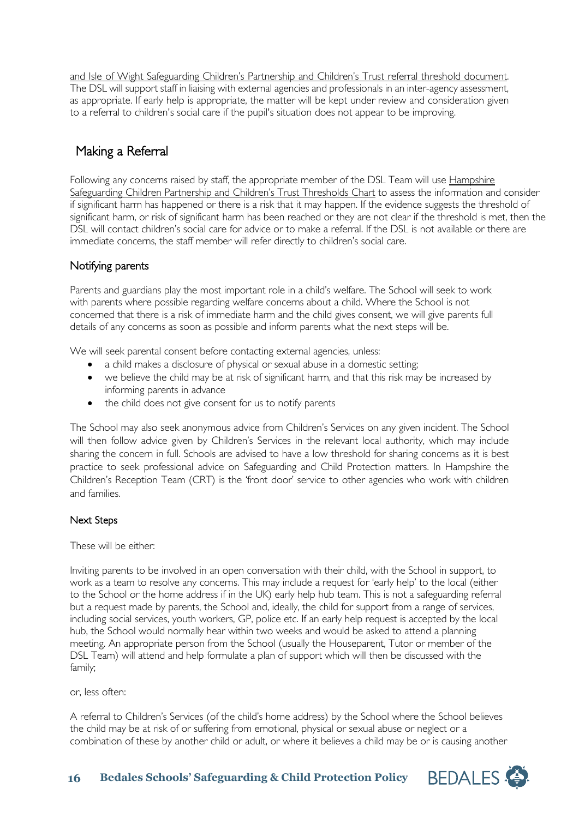[and Isle of Wight Safeguarding Children's Partnership and Children's Trust referral threshold document.](https://www.hampshirescp.org.uk/wp-content/uploads/2019/08/Hampshire-IOW-Thresholds-Chart-July-2019-1.pdf)  The DSL will support staff in liaising with external agencies and professionals in an inter-agency assessment, as appropriate. If early help is appropriate, the matter will be kept under review and consideration given to a referral to children's social care if the pupil's situation does not appear to be improving.

## <span id="page-15-0"></span>Making a Referral

Following any concerns raised by staff, the appropriate member of the DSL Team will use [Hampshire](https://www.hants.gov.uk/socialcareandhealth/childrenandfamilies/safeguardingchildren/thresholds)  [Safeguarding Children Partnership and Children's Trust Thresholds Chart](https://www.hants.gov.uk/socialcareandhealth/childrenandfamilies/safeguardingchildren/thresholds) to assess the information and consider if significant harm has happened or there is a risk that it may happen. If the evidence suggests the threshold of significant harm, or risk of significant harm has been reached or they are not clear if the threshold is met, then the DSL will contact children's social care for advice or to make a referral. If the DSL is not available or there are immediate concerns, the staff member will refer directly to children's social care.

#### <span id="page-15-1"></span>Notifying parents

Parents and guardians play the most important role in a child's welfare. The School will seek to work with parents where possible regarding welfare concerns about a child. Where the School is not concerned that there is a risk of immediate harm and the child gives consent, we will give parents full details of any concerns as soon as possible and inform parents what the next steps will be.

We will seek parental consent before contacting external agencies, unless:

- a child makes a disclosure of physical or sexual abuse in a domestic setting;
- we believe the child may be at risk of significant harm, and that this risk may be increased by informing parents in advance
- the child does not give consent for us to notify parents

The School may also seek anonymous advice from Children's Services on any given incident. The School will then follow advice given by Children's Services in the relevant local authority, which may include sharing the concern in full. Schools are advised to have a low threshold for sharing concerns as it is best practice to seek professional advice on Safeguarding and Child Protection matters. In Hampshire the Children's Reception Team (CRT) is the 'front door' service to other agencies who work with children and families.

#### <span id="page-15-2"></span>Next Steps

These will be either:

Inviting parents to be involved in an open conversation with their child, with the School in support, to work as a team to resolve any concerns. This may include a request for 'early help' to the local (either to the School or the home address if in the UK) early help hub team. This is not a safeguarding referral but a request made by parents, the School and, ideally, the child for support from a range of services, including social services, youth workers, GP, police etc. If an early help request is accepted by the local hub, the School would normally hear within two weeks and would be asked to attend a planning meeting. An appropriate person from the School (usually the Houseparent, Tutor or member of the DSL Team) will attend and help formulate a plan of support which will then be discussed with the family;

or, less often:

A referral to Children's Services (of the child's home address) by the School where the School believes the child may be at risk of or suffering from emotional, physical or sexual abuse or neglect or a combination of these by another child or adult, or where it believes a child may be or is causing another

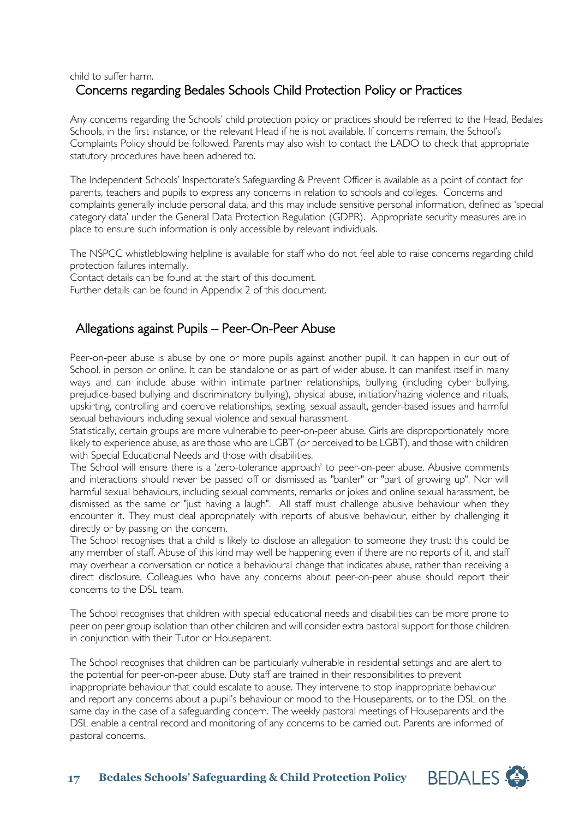#### <span id="page-16-0"></span>child to suffer harm. Concerns regarding Bedales Schools Child Protection Policy or Practices

Any concerns regarding the Schools' child protection policy or practices should be referred to the Head, Bedales Schools, in the first instance, or the relevant Head if he is not available. If concerns remain, the School's Complaints Policy should be followed. Parents may also wish to contact the LADO to check that appropriate statutory procedures have been adhered to.

The Independent Schools' Inspectorate's Safeguarding & Prevent Officer is available as a point of contact for parents, teachers and pupils to express any concerns in relation to schools and colleges. Concerns and complaints generally include personal data, and this may include sensitive personal information, defined as 'special category data' under the General Data Protection Regulation (GDPR). Appropriate security measures are in place to ensure such information is only accessible by relevant individuals.

The NSPCC whistleblowing helpline is available for staff who do not feel able to raise concerns regarding child protection failures internally.

Contact details can be found at the start of this document.

Further details can be found in Appendix 2 of this document.

## <span id="page-16-1"></span>Allegations against Pupils – Peer-On-Peer Abuse

Peer-on-peer abuse is abuse by one or more pupils against another pupil. It can happen in our out of School, in person or online. It can be standalone or as part of wider abuse. It can manifest itself in many ways and can include abuse within intimate partner relationships, bullying (including cyber bullying, prejudice-based bullying and discriminatory bullying), physical abuse, initiation/hazing violence and rituals, upskirting, controlling and coercive relationships, sexting, sexual assault, gender-based issues and harmful sexual behaviours including sexual violence and sexual harassment.

Statistically, certain groups are more vulnerable to peer-on-peer abuse. Girls are disproportionately more likely to experience abuse, as are those who are LGBT (or perceived to be LGBT), and those with children with Special Educational Needs and those with disabilities.

The School will ensure there is a 'zero-tolerance approach' to peer-on-peer abuse. Abusive comments and interactions should never be passed off or dismissed as "banter" or "part of growing up". Nor will harmful sexual behaviours, including sexual comments, remarks or jokes and online sexual harassment, be dismissed as the same or "just having a laugh". All staff must challenge abusive behaviour when they encounter it. They must deal appropriately with reports of abusive behaviour, either by challenging it directly or by passing on the concern.

The School recognises that a child is likely to disclose an allegation to someone they trust: this could be any member of staff. Abuse of this kind may well be happening even if there are no reports of it, and staff may overhear a conversation or notice a behavioural change that indicates abuse, rather than receiving a direct disclosure. Colleagues who have any concerns about peer-on-peer abuse should report their concerns to the DSL team.

The School recognises that children with special educational needs and disabilities can be more prone to peer on peer group isolation than other children and will consider extra pastoral support for those children in conjunction with their Tutor or Houseparent.

The School recognises that children can be particularly vulnerable in residential settings and are alert to the potential for peer-on-peer abuse. Duty staff are trained in their responsibilities to prevent inappropriate behaviour that could escalate to abuse. They intervene to stop inappropriate behaviour and report any concerns about a pupil's behaviour or mood to the Houseparents, or to the DSL on the same day in the case of a safeguarding concern. The weekly pastoral meetings of Houseparents and the DSL enable a central record and monitoring of any concerns to be carried out. Parents are informed of pastoral concerns.

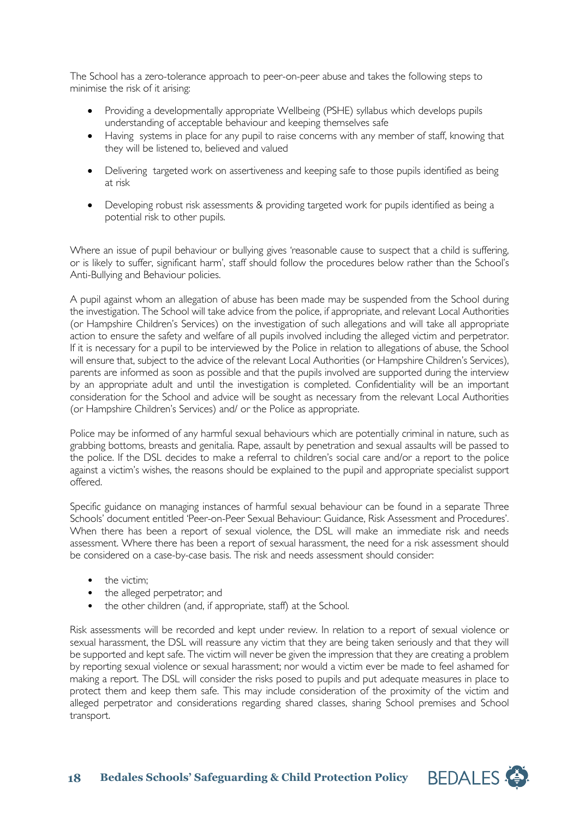The School has a zero-tolerance approach to peer-on-peer abuse and takes the following steps to minimise the risk of it arising:

- Providing a developmentally appropriate Wellbeing (PSHE) syllabus which develops pupils understanding of acceptable behaviour and keeping themselves safe
- Having systems in place for any pupil to raise concerns with any member of staff, knowing that they will be listened to, believed and valued
- Delivering targeted work on assertiveness and keeping safe to those pupils identified as being at risk
- Developing robust risk assessments & providing targeted work for pupils identified as being a potential risk to other pupils.

Where an issue of pupil behaviour or bullying gives 'reasonable cause to suspect that a child is suffering, or is likely to suffer, significant harm', staff should follow the procedures below rather than the School's Anti-Bullying and Behaviour policies.

A pupil against whom an allegation of abuse has been made may be suspended from the School during the investigation. The School will take advice from the police, if appropriate, and relevant Local Authorities (or Hampshire Children's Services) on the investigation of such allegations and will take all appropriate action to ensure the safety and welfare of all pupils involved including the alleged victim and perpetrator. If it is necessary for a pupil to be interviewed by the Police in relation to allegations of abuse, the School will ensure that, subject to the advice of the relevant Local Authorities (or Hampshire Children's Services), parents are informed as soon as possible and that the pupils involved are supported during the interview by an appropriate adult and until the investigation is completed. Confidentiality will be an important consideration for the School and advice will be sought as necessary from the relevant Local Authorities (or Hampshire Children's Services) and/ or the Police as appropriate.

Police may be informed of any harmful sexual behaviours which are potentially criminal in nature, such as grabbing bottoms, breasts and genitalia. Rape, assault by penetration and sexual assaults will be passed to the police. If the DSL decides to make a referral to children's social care and/or a report to the police against a victim's wishes, the reasons should be explained to the pupil and appropriate specialist support offered.

Specific guidance on managing instances of harmful sexual behaviour can be found in a separate Three Schools' document entitled 'Peer-on-Peer Sexual Behaviour: Guidance, Risk Assessment and Procedures'. When there has been a report of sexual violence, the DSL will make an immediate risk and needs assessment. Where there has been a report of sexual harassment, the need for a risk assessment should be considered on a case-by-case basis. The risk and needs assessment should consider:

- the victim:
- the alleged perpetrator; and
- the other children (and, if appropriate, staff) at the School.

Risk assessments will be recorded and kept under review. In relation to a report of sexual violence or sexual harassment, the DSL will reassure any victim that they are being taken seriously and that they will be supported and kept safe. The victim will never be given the impression that they are creating a problem by reporting sexual violence or sexual harassment; nor would a victim ever be made to feel ashamed for making a report. The DSL will consider the risks posed to pupils and put adequate measures in place to protect them and keep them safe. This may include consideration of the proximity of the victim and alleged perpetrator and considerations regarding shared classes, sharing School premises and School transport.

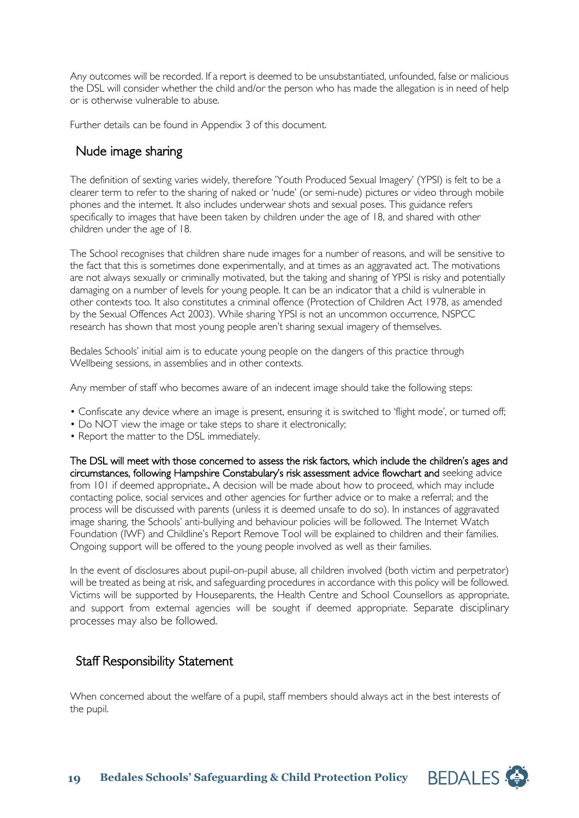Any outcomes will be recorded. If a report is deemed to be unsubstantiated, unfounded, false or malicious the DSL will consider whether the child and/or the person who has made the allegation is in need of help or is otherwise vulnerable to abuse.

Further details can be found in Appendix 3 of this document.

## <span id="page-18-0"></span>Nude image sharing

The definition of sexting varies widely, therefore 'Youth Produced Sexual Imagery' (YPSI) is felt to be a clearer term to refer to the sharing of naked or 'nude' (or semi-nude) pictures or video through mobile phones and the internet. It also includes underwear shots and sexual poses. This guidance refers specifically to images that have been taken by children under the age of 18, and shared with other children under the age of 18.

The School recognises that children share nude images for a number of reasons, and will be sensitive to the fact that this is sometimes done experimentally, and at times as an aggravated act. The motivations are not always sexually or criminally motivated, but the taking and sharing of YPSI is risky and potentially damaging on a number of levels for young people. It can be an indicator that a child is vulnerable in other contexts too. It also constitutes a criminal offence (Protection of Children Act 1978, as amended by the Sexual Offences Act 2003). While sharing YPSI is not an uncommon occurrence, NSPCC research has shown that most young people aren't sharing sexual imagery of themselves.

Bedales Schools' initial aim is to educate young people on the dangers of this practice through Wellbeing sessions, in assemblies and in other contexts.

Any member of staff who becomes aware of an indecent image should take the following steps:

- Confiscate any device where an image is present, ensuring it is switched to 'flight mode', or turned off;
- Do NOT view the image or take steps to share it electronically;
- Report the matter to the DSL immediately.

The DSL will meet with those concerned to assess the risk factors, which include the children's ages and circumstances, following Hampshire Constabulary's risk assessment advice flowchart and seeking advice from 101 if deemed appropriate.. A decision will be made about how to proceed, which may include contacting police, social services and other agencies for further advice or to make a referral; and the process will be discussed with parents (unless it is deemed unsafe to do so). In instances of aggravated image sharing, the Schools' anti-bullying and behaviour policies will be followed. The Internet Watch Foundation (IWF) and Childline's Report Remove Tool will be explained to children and their families. Ongoing support will be offered to the young people involved as well as their families.

In the event of disclosures about pupil-on-pupil abuse, all children involved (both victim and perpetrator) will be treated as being at risk, and safeguarding procedures in accordance with this policy will be followed. Victims will be supported by Houseparents, the Health Centre and School Counsellors as appropriate, and support from external agencies will be sought if deemed appropriate. Separate disciplinary processes may also be followed.

## <span id="page-18-1"></span>Staff Responsibility Statement

When concerned about the welfare of a pupil, staff members should always act in the best interests of the pupil.

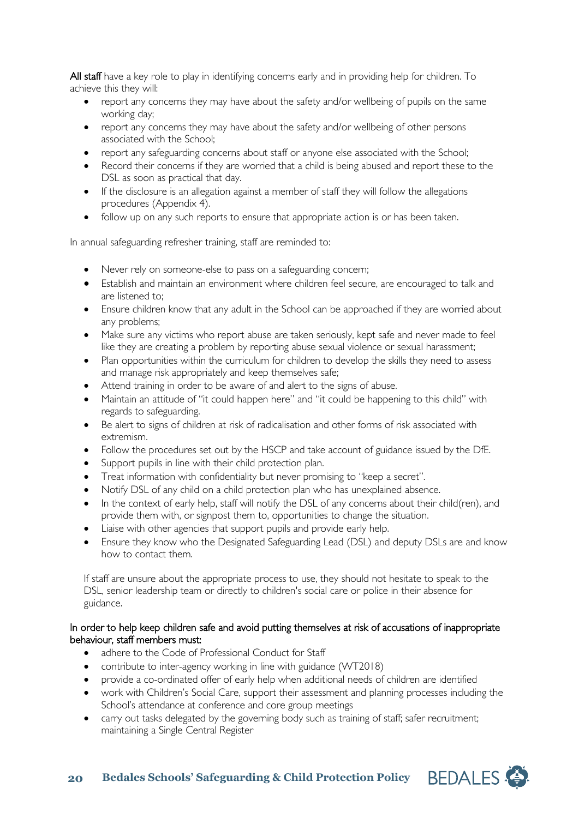All staff have a key role to play in identifying concerns early and in providing help for children. To achieve this they will:

- report any concerns they may have about the safety and/or wellbeing of pupils on the same working day;
- report any concerns they may have about the safety and/or wellbeing of other persons associated with the School;
- report any safeguarding concerns about staff or anyone else associated with the School;
- Record their concerns if they are worried that a child is being abused and report these to the DSL as soon as practical that day.
- If the disclosure is an allegation against a member of staff they will follow the allegations procedures (Appendix 4).
- follow up on any such reports to ensure that appropriate action is or has been taken.

In annual safeguarding refresher training, staff are reminded to:

- Never rely on someone-else to pass on a safeguarding concern;
- Establish and maintain an environment where children feel secure, are encouraged to talk and are listened to;
- Ensure children know that any adult in the School can be approached if they are worried about any problems;
- Make sure any victims who report abuse are taken seriously, kept safe and never made to feel like they are creating a problem by reporting abuse sexual violence or sexual harassment;
- Plan opportunities within the curriculum for children to develop the skills they need to assess and manage risk appropriately and keep themselves safe;
- Attend training in order to be aware of and alert to the signs of abuse.
- Maintain an attitude of "it could happen here" and "it could be happening to this child" with regards to safeguarding.
- Be alert to signs of children at risk of radicalisation and other forms of risk associated with extremism.
- Follow the procedures set out by the HSCP and take account of guidance issued by the DfE.
- Support pupils in line with their child protection plan.
- Treat information with confidentiality but never promising to "keep a secret".
- Notify DSL of any child on a child protection plan who has unexplained absence.
- In the context of early help, staff will notify the DSL of any concerns about their child(ren), and provide them with, or signpost them to, opportunities to change the situation.
- Liaise with other agencies that support pupils and provide early help.
- Ensure they know who the Designated Safeguarding Lead (DSL) and deputy DSLs are and know how to contact them.

If staff are unsure about the appropriate process to use, they should not hesitate to speak to the DSL, senior leadership team or directly to children's social care or police in their absence for guidance.

#### In order to help keep children safe and avoid putting themselves at risk of accusations of inappropriate behaviour, staff members must:

- adhere to the Code of Professional Conduct for Staff
- contribute to inter-agency working in line with guidance (WT2018)
- provide a co-ordinated offer of early help when additional needs of children are identified
- work with Children's Social Care, support their assessment and planning processes including the School's attendance at conference and core group meetings
- carry out tasks delegated by the governing body such as training of staff; safer recruitment; maintaining a Single Central Register

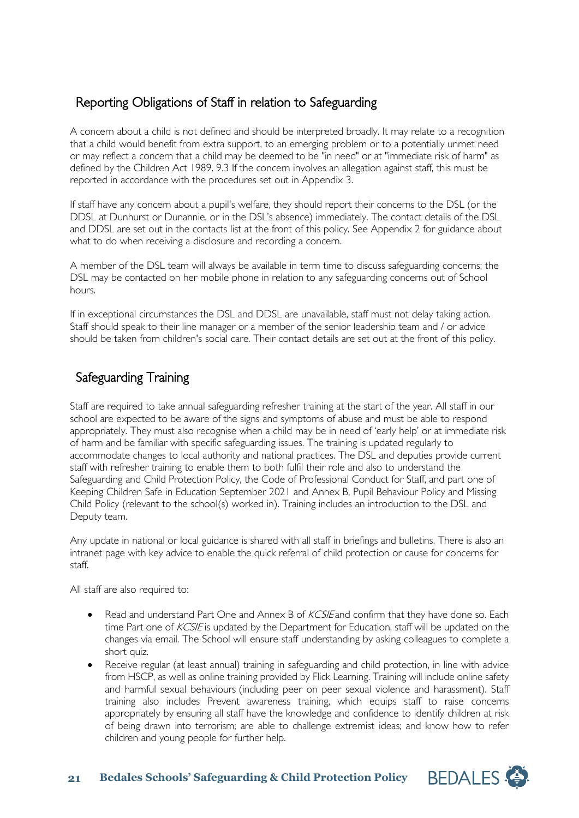## <span id="page-20-0"></span>Reporting Obligations of Staff in relation to Safeguarding

A concern about a child is not defined and should be interpreted broadly. It may relate to a recognition that a child would benefit from extra support, to an emerging problem or to a potentially unmet need or may reflect a concern that a child may be deemed to be "in need" or at "immediate risk of harm" as defined by the Children Act 1989. 9.3 If the concern involves an allegation against staff, this must be reported in accordance with the procedures set out in Appendix 3.

If staff have any concern about a pupil's welfare, they should report their concerns to the DSL (or the DDSL at Dunhurst or Dunannie, or in the DSL's absence) immediately. The contact details of the DSL and DDSL are set out in the contacts list at the front of this policy. See Appendix 2 for guidance about what to do when receiving a disclosure and recording a concern.

A member of the DSL team will always be available in term time to discuss safeguarding concerns; the DSL may be contacted on her mobile phone in relation to any safeguarding concerns out of School hours.

If in exceptional circumstances the DSL and DDSL are unavailable, staff must not delay taking action. Staff should speak to their line manager or a member of the senior leadership team and / or advice should be taken from children's social care. Their contact details are set out at the front of this policy.

## <span id="page-20-1"></span>Safeguarding Training

Staff are required to take annual safeguarding refresher training at the start of the year. All staff in our school are expected to be aware of the signs and symptoms of abuse and must be able to respond appropriately. They must also recognise when a child may be in need of 'early help' or at immediate risk of harm and be familiar with specific safeguarding issues. The training is updated regularly to accommodate changes to local authority and national practices. The DSL and deputies provide current staff with refresher training to enable them to both fulfil their role and also to understand the Safeguarding and Child Protection Policy, the Code of Professional Conduct for Staff, and part one of Keeping Children Safe in Education September 2021 and Annex B, Pupil Behaviour Policy and Missing Child Policy (relevant to the school(s) worked in). Training includes an introduction to the DSL and Deputy team.

Any update in national or local guidance is shared with all staff in briefings and bulletins. There is also an intranet page with key advice to enable the quick referral of child protection or cause for concerns for staff.

All staff are also required to:

- Read and understand Part One and Annex B of  $KCS/E$  and confirm that they have done so. Each time Part one of KCSIE is updated by the Department for Education, staff will be updated on the changes via email. The School will ensure staff understanding by asking colleagues to complete a short quiz.
- Receive regular (at least annual) training in safeguarding and child protection, in line with advice from HSCP, as well as online training provided by Flick Learning. Training will include online safety and harmful sexual behaviours (including peer on peer sexual violence and harassment). Staff training also includes Prevent awareness training, which equips staff to raise concerns appropriately by ensuring all staff have the knowledge and confidence to identify children at risk of being drawn into terrorism; are able to challenge extremist ideas; and know how to refer children and young people for further help.

#### **21 Bedales Schools' Safeguarding & Child Protection Policy**

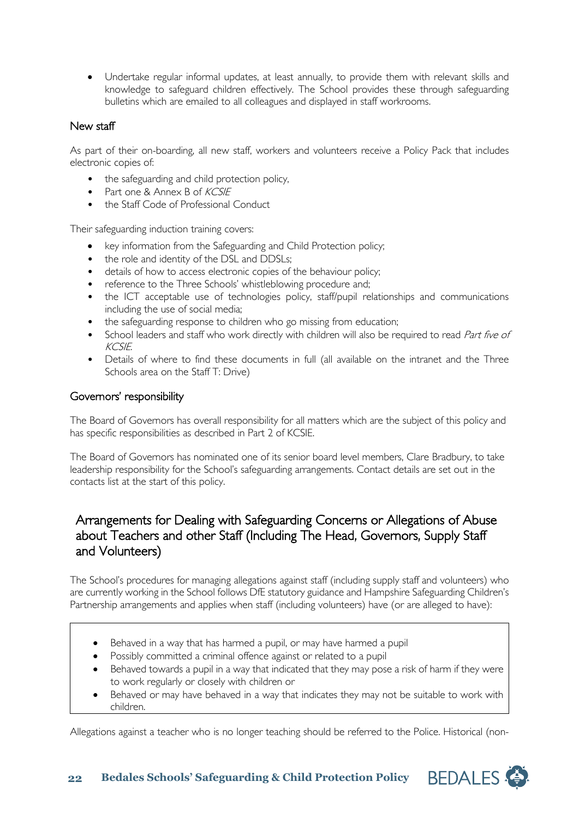• Undertake regular informal updates, at least annually, to provide them with relevant skills and knowledge to safeguard children effectively. The School provides these through safeguarding bulletins which are emailed to all colleagues and displayed in staff workrooms.

#### <span id="page-21-0"></span>New staff

As part of their on-boarding, all new staff, workers and volunteers receive a Policy Pack that includes electronic copies of:

- the safeguarding and child protection policy,
- Part one & Annex B of KCSIF
- the Staff Code of Professional Conduct

Their safeguarding induction training covers:

- key information from the Safeguarding and Child Protection policy;
- the role and identity of the DSL and DDSLs;
- details of how to access electronic copies of the behaviour policy;
- reference to the Three Schools' whistleblowing procedure and;
- the ICT acceptable use of technologies policy, staff/pupil relationships and communications including the use of social media;
- the safeguarding response to children who go missing from education;
- School leaders and staff who work directly with children will also be required to read Part five of KCSIE.
- Details of where to find these documents in full (all available on the intranet and the Three Schools area on the Staff T: Drive)

#### <span id="page-21-1"></span>Governors' responsibility

The Board of Governors has overall responsibility for all matters which are the subject of this policy and has specific responsibilities as described in Part 2 of KCSIE.

The Board of Governors has nominated one of its senior board level members, Clare Bradbury, to take leadership responsibility for the School's safeguarding arrangements. Contact details are set out in the contacts list at the start of this policy.

## <span id="page-21-2"></span>Arrangements for Dealing with Safeguarding Concerns or Allegations of Abuse about Teachers and other Staff (Including The Head, Governors, Supply Staff and Volunteers)

The School's procedures for managing allegations against staff (including supply staff and volunteers) who are currently working in the School follows DfE statutory guidance and Hampshire Safeguarding Children's Partnership arrangements and applies when staff (including volunteers) have (or are alleged to have):

- Behaved in a way that has harmed a pupil, or may have harmed a pupil
- Possibly committed a criminal offence against or related to a pupil
- Behaved towards a pupil in a way that indicated that they may pose a risk of harm if they were to work regularly or closely with children or
- Behaved or may have behaved in a way that indicates they may not be suitable to work with children.

Allegations against a teacher who is no longer teaching should be referred to the Police. Historical (non-

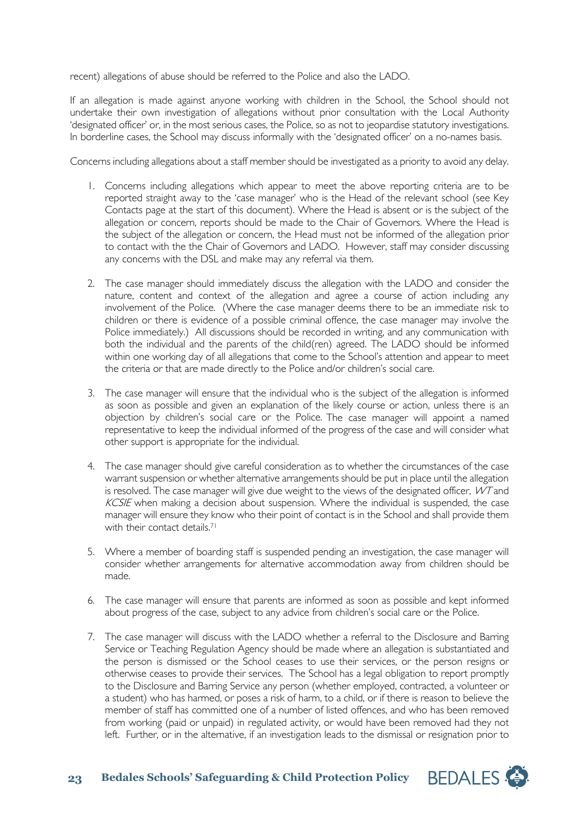recent) allegations of abuse should be referred to the Police and also the LADO.

If an allegation is made against anyone working with children in the School, the School should not undertake their own investigation of allegations without prior consultation with the Local Authority 'designated officer' or, in the most serious cases, the Police, so as not to jeopardise statutory investigations. In borderline cases, the School may discuss informally with the 'designated officer' on a no-names basis.

Concerns including allegations about a staff member should be investigated as a priority to avoid any delay.

- 1. Concerns including allegations which appear to meet the above reporting criteria are to be reported straight away to the 'case manager' who is the Head of the relevant school (see Key Contacts page at the start of this document). Where the Head is absent or is the subject of the allegation or concern, reports should be made to the Chair of Governors. Where the Head is the subject of the allegation or concern, the Head must not be informed of the allegation prior to contact with the the Chair of Governors and LADO. However, staff may consider discussing any concerns with the DSL and make may any referral via them.
- 2. The case manager should immediately discuss the allegation with the LADO and consider the nature, content and context of the allegation and agree a course of action including any involvement of the Police. (Where the case manager deems there to be an immediate risk to children or there is evidence of a possible criminal offence, the case manager may involve the Police immediately.) All discussions should be recorded in writing, and any communication with both the individual and the parents of the child(ren) agreed. The LADO should be informed within one working day of all allegations that come to the School's attention and appear to meet the criteria or that are made directly to the Police and/or children's social care.
- 3. The case manager will ensure that the individual who is the subject of the allegation is informed as soon as possible and given an explanation of the likely course or action, unless there is an objection by children's social care or the Police. The case manager will appoint a named representative to keep the individual informed of the progress of the case and will consider what other support is appropriate for the individual.
- 4. The case manager should give careful consideration as to whether the circumstances of the case warrant suspension or whether alternative arrangements should be put in place until the allegation is resolved. The case manager will give due weight to the views of the designated officer,  $WT$  and KCSIE when making a decision about suspension. Where the individual is suspended, the case manager will ensure they know who their point of contact is in the School and shall provide them with their contact details.<sup>71</sup>
- 5. Where a member of boarding staff is suspended pending an investigation, the case manager will consider whether arrangements for alternative accommodation away from children should be made.
- 6. The case manager will ensure that parents are informed as soon as possible and kept informed about progress of the case, subject to any advice from children's social care or the Police.
- 7. The case manager will discuss with the LADO whether a referral to the Disclosure and Barring Service or Teaching Regulation Agency should be made where an allegation is substantiated and the person is dismissed or the School ceases to use their services, or the person resigns or otherwise ceases to provide their services. The School has a legal obligation to report promptly to the Disclosure and Barring Service any person (whether employed, contracted, a volunteer or a student) who has harmed, or poses a risk of harm, to a child, or if there is reason to believe the member of staff has committed one of a number of listed offences, and who has been removed from working (paid or unpaid) in regulated activity, or would have been removed had they not left. Further, or in the alternative, if an investigation leads to the dismissal or resignation prior to

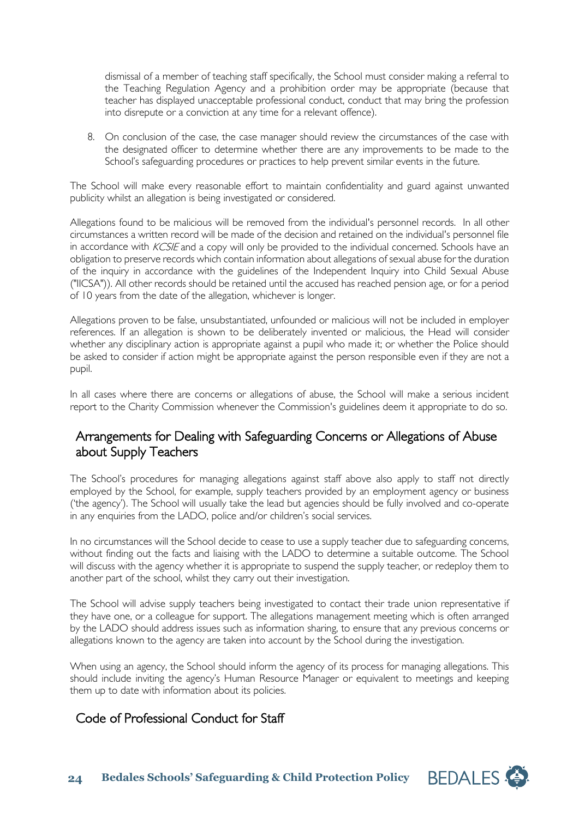dismissal of a member of teaching staff specifically, the School must consider making a referral to the Teaching Regulation Agency and a prohibition order may be appropriate (because that teacher has displayed unacceptable professional conduct, conduct that may bring the profession into disrepute or a conviction at any time for a relevant offence).

8. On conclusion of the case, the case manager should review the circumstances of the case with the designated officer to determine whether there are any improvements to be made to the School's safeguarding procedures or practices to help prevent similar events in the future.

The School will make every reasonable effort to maintain confidentiality and guard against unwanted publicity whilst an allegation is being investigated or considered.

Allegations found to be malicious will be removed from the individual's personnel records. In all other circumstances a written record will be made of the decision and retained on the individual's personnel file in accordance with KCSIE and a copy will only be provided to the individual concerned. Schools have an obligation to preserve records which contain information about allegations of sexual abuse for the duration of the inquiry in accordance with the guidelines of the Independent Inquiry into Child Sexual Abuse ("IICSA")). All other records should be retained until the accused has reached pension age, or for a period of 10 years from the date of the allegation, whichever is longer.

Allegations proven to be false, unsubstantiated, unfounded or malicious will not be included in employer references. If an allegation is shown to be deliberately invented or malicious, the Head will consider whether any disciplinary action is appropriate against a pupil who made it; or whether the Police should be asked to consider if action might be appropriate against the person responsible even if they are not a pupil.

In all cases where there are concerns or allegations of abuse, the School will make a serious incident report to the Charity Commission whenever the Commission's guidelines deem it appropriate to do so.

## <span id="page-23-0"></span>Arrangements for Dealing with Safeguarding Concerns or Allegations of Abuse about Supply Teachers

The School's procedures for managing allegations against staff above also apply to staff not directly employed by the School, for example, supply teachers provided by an employment agency or business ('the agency'). The School will usually take the lead but agencies should be fully involved and co-operate in any enquiries from the LADO, police and/or children's social services.

In no circumstances will the School decide to cease to use a supply teacher due to safeguarding concerns, without finding out the facts and liaising with the LADO to determine a suitable outcome. The School will discuss with the agency whether it is appropriate to suspend the supply teacher, or redeploy them to another part of the school, whilst they carry out their investigation.

The School will advise supply teachers being investigated to contact their trade union representative if they have one, or a colleague for support. The allegations management meeting which is often arranged by the LADO should address issues such as information sharing, to ensure that any previous concerns or allegations known to the agency are taken into account by the School during the investigation.

When using an agency, the School should inform the agency of its process for managing allegations. This should include inviting the agency's Human Resource Manager or equivalent to meetings and keeping them up to date with information about its policies.

## <span id="page-23-1"></span>Code of Professional Conduct for Staff

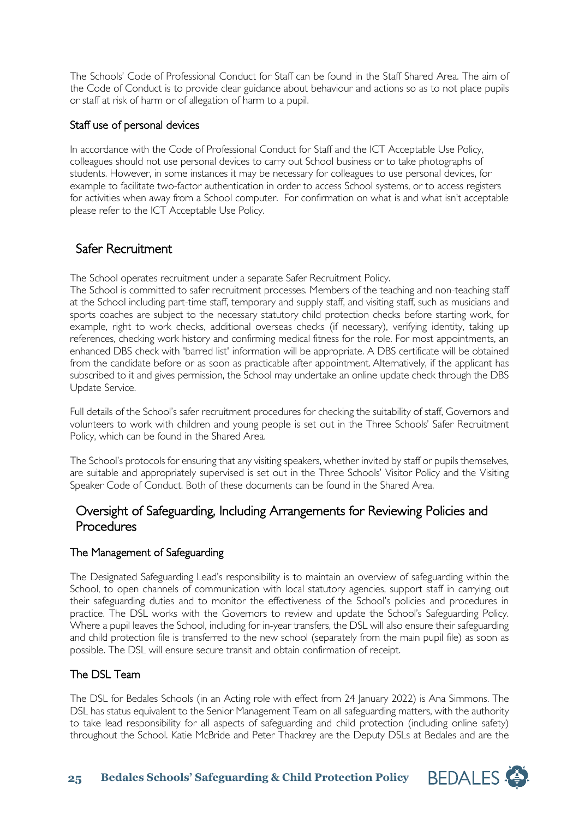The Schools' Code of Professional Conduct for Staff can be found in the Staff Shared Area. The aim of the Code of Conduct is to provide clear guidance about behaviour and actions so as to not place pupils or staff at risk of harm or of allegation of harm to a pupil.

#### <span id="page-24-0"></span>Staff use of personal devices

In accordance with the Code of Professional Conduct for Staff and the ICT Acceptable Use Policy, colleagues should not use personal devices to carry out School business or to take photographs of students. However, in some instances it may be necessary for colleagues to use personal devices, for example to facilitate two-factor authentication in order to access School systems, or to access registers for activities when away from a School computer. For confirmation on what is and what isn't acceptable please refer to the ICT Acceptable Use Policy.

## <span id="page-24-1"></span>Safer Recruitment

The School operates recruitment under a separate Safer Recruitment Policy.

The School is committed to safer recruitment processes. Members of the teaching and non-teaching staff at the School including part-time staff, temporary and supply staff, and visiting staff, such as musicians and sports coaches are subject to the necessary statutory child protection checks before starting work, for example, right to work checks, additional overseas checks (if necessary), verifying identity, taking up references, checking work history and confirming medical fitness for the role. For most appointments, an enhanced DBS check with 'barred list' information will be appropriate. A DBS certificate will be obtained from the candidate before or as soon as practicable after appointment. Alternatively, if the applicant has subscribed to it and gives permission, the School may undertake an online update check through the DBS Update Service.

Full details of the School's safer recruitment procedures for checking the suitability of staff, Governors and volunteers to work with children and young people is set out in the Three Schools' Safer Recruitment Policy, which can be found in the Shared Area.

The School's protocols for ensuring that any visiting speakers, whether invited by staff or pupils themselves, are suitable and appropriately supervised is set out in the Three Schools' Visitor Policy and the Visiting Speaker Code of Conduct. Both of these documents can be found in the Shared Area.

## <span id="page-24-2"></span>Oversight of Safeguarding, Including Arrangements for Reviewing Policies and Procedures

#### <span id="page-24-3"></span>The Management of Safeguarding

The Designated Safeguarding Lead's responsibility is to maintain an overview of safeguarding within the School, to open channels of communication with local statutory agencies, support staff in carrying out their safeguarding duties and to monitor the effectiveness of the School's policies and procedures in practice. The DSL works with the Governors to review and update the School's Safeguarding Policy. Where a pupil leaves the School, including for in-year transfers, the DSL will also ensure their safeguarding and child protection file is transferred to the new school (separately from the main pupil file) as soon as possible. The DSL will ensure secure transit and obtain confirmation of receipt.

#### <span id="page-24-4"></span>The DSL Team

The DSL for Bedales Schools (in an Acting role with effect from 24 January 2022) is Ana Simmons. The DSL has status equivalent to the Senior Management Team on all safeguarding matters, with the authority to take lead responsibility for all aspects of safeguarding and child protection (including online safety) throughout the School. Katie McBride and Peter Thackrey are the Deputy DSLs at Bedales and are the

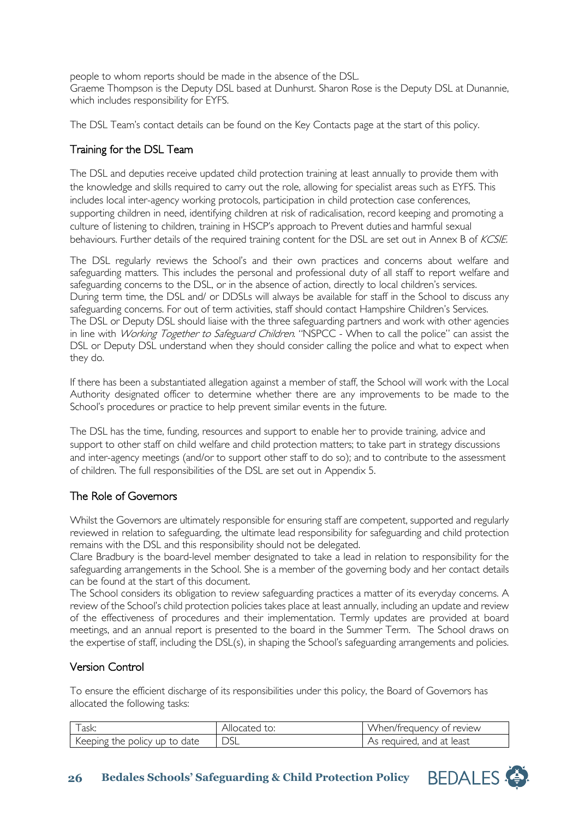people to whom reports should be made in the absence of the DSL. Graeme Thompson is the Deputy DSL based at Dunhurst. Sharon Rose is the Deputy DSL at Dunannie, which includes responsibility for EYFS.

The DSL Team's contact details can be found on the Key Contacts page at the start of this policy.

#### <span id="page-25-0"></span>Training for the DSL Team

The DSL and deputies receive updated child protection training at least annually to provide them with the knowledge and skills required to carry out the role, allowing for specialist areas such as EYFS. This includes local inter-agency working protocols, participation in child protection case conferences, supporting children in need, identifying children at risk of radicalisation, record keeping and promoting a culture of listening to children, training in HSCP's approach to Prevent duties and harmful sexual behaviours. Further details of the required training content for the DSL are set out in Annex B of KCSIE.

The DSL regularly reviews the School's and their own practices and concerns about welfare and safeguarding matters. This includes the personal and professional duty of all staff to report welfare and safeguarding concerns to the DSL, or in the absence of action, directly to local children's services. During term time, the DSL and/ or DDSLs will always be available for staff in the School to discuss any safeguarding concerns. For out of term activities, staff should contact Hampshire Children's Services. The DSL or Deputy DSL should liaise with the three safeguarding partners and work with other agencies in line with Working Together to Safeguard Children. "NSPCC - When to call the police" can assist the DSL or Deputy DSL understand when they should consider calling the police and what to expect when they do.

If there has been a substantiated allegation against a member of staff, the School will work with the Local Authority designated officer to determine whether there are any improvements to be made to the School's procedures or practice to help prevent similar events in the future.

The DSL has the time, funding, resources and support to enable her to provide training, advice and support to other staff on child welfare and child protection matters; to take part in strategy discussions and inter-agency meetings (and/or to support other staff to do so); and to contribute to the assessment of children. The full responsibilities of the DSL are set out in Appendix 5.

## <span id="page-25-1"></span>The Role of Governors

Whilst the Governors are ultimately responsible for ensuring staff are competent, supported and regularly reviewed in relation to safeguarding, the ultimate lead responsibility for safeguarding and child protection remains with the DSL and this responsibility should not be delegated.

Clare Bradbury is the board-level member designated to take a lead in relation to responsibility for the safeguarding arrangements in the School. She is a member of the governing body and her contact details can be found at the start of this document.

The School considers its obligation to review safeguarding practices a matter of its everyday concerns. A review of the School's child protection policies takes place at least annually, including an update and review of the effectiveness of procedures and their implementation. Termly updates are provided at board meetings, and an annual report is presented to the board in the Summer Term. The School draws on the expertise of staff, including the DSL(s), in shaping the School's safeguarding arrangements and policies.

#### <span id="page-25-2"></span>Version Control

To ensure the efficient discharge of its responsibilities under this policy, the Board of Governors has allocated the following tasks:

| `ask.                                                                | to:<br>،م+<br>Allocateg | review<br>$\gamma$<br>'hen<br>. Juuency ni<br>/trani<br>$\sim$<br>$\mathbf{v}$ |
|----------------------------------------------------------------------|-------------------------|--------------------------------------------------------------------------------|
| Keep<br>date<br>the<br>UD<br>$+\sim$<br><b>DOIICY</b><br>911 19<br>w | <b>DSL</b>              | at least<br>and<br>reguired,<br>$\Delta$<br>ື                                  |



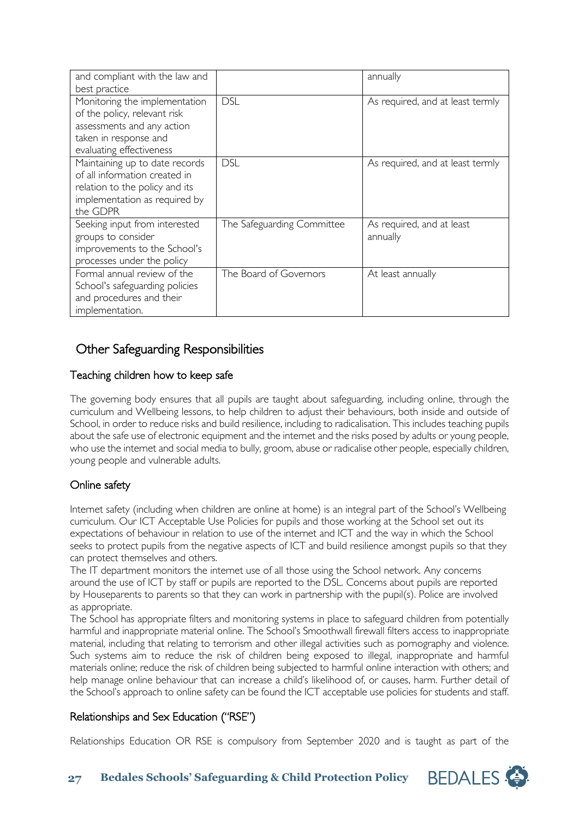| and compliant with the law and<br>best practice                                                                                                  |                            | annually                              |
|--------------------------------------------------------------------------------------------------------------------------------------------------|----------------------------|---------------------------------------|
| Monitoring the implementation<br>of the policy, relevant risk<br>assessments and any action<br>taken in response and<br>evaluating effectiveness | <b>DSL</b>                 | As required, and at least termly      |
| Maintaining up to date records<br>of all information created in<br>relation to the policy and its<br>implementation as required by<br>the GDPR   | <b>DSL</b>                 | As required, and at least termly      |
| Seeking input from interested<br>groups to consider<br>improvements to the School's<br>processes under the policy                                | The Safeguarding Committee | As required, and at least<br>annually |
| Formal annual review of the<br>School's safeguarding policies<br>and procedures and their<br>implementation.                                     | The Board of Governors     | At least annually                     |

## <span id="page-26-0"></span>Other Safeguarding Responsibilities

#### <span id="page-26-1"></span>Teaching children how to keep safe

The governing body ensures that all pupils are taught about safeguarding, including online, through the curriculum and Wellbeing lessons, to help children to adjust their behaviours, both inside and outside of School, in order to reduce risks and build resilience, including to radicalisation. This includes teaching pupils about the safe use of electronic equipment and the internet and the risks posed by adults or young people, who use the internet and social media to bully, groom, abuse or radicalise other people, especially children, young people and vulnerable adults.

#### <span id="page-26-2"></span>Online safety

Internet safety (including when children are online at home) is an integral part of the School's Wellbeing curriculum. Our ICT Acceptable Use Policies for pupils and those working at the School set out its expectations of behaviour in relation to use of the internet and ICT and the way in which the School seeks to protect pupils from the negative aspects of ICT and build resilience amongst pupils so that they can protect themselves and others.

The IT department monitors the internet use of all those using the School network. Any concerns around the use of ICT by staff or pupils are reported to the DSL. Concerns about pupils are reported by Houseparents to parents so that they can work in partnership with the pupil(s). Police are involved as appropriate.

The School has appropriate filters and monitoring systems in place to safeguard children from potentially harmful and inappropriate material online. The School's Smoothwall firewall filters access to inappropriate material, including that relating to terrorism and other illegal activities such as pornography and violence. Such systems aim to reduce the risk of children being exposed to illegal, inappropriate and harmful materials online; reduce the risk of children being subjected to harmful online interaction with others; and help manage online behaviour that can increase a child's likelihood of, or causes, harm. Further detail of the School's approach to online safety can be found the ICT acceptable use policies for students and staff.

## <span id="page-26-3"></span>Relationships and Sex Education ("RSE")

Relationships Education OR RSE is compulsory from September 2020 and is taught as part of the

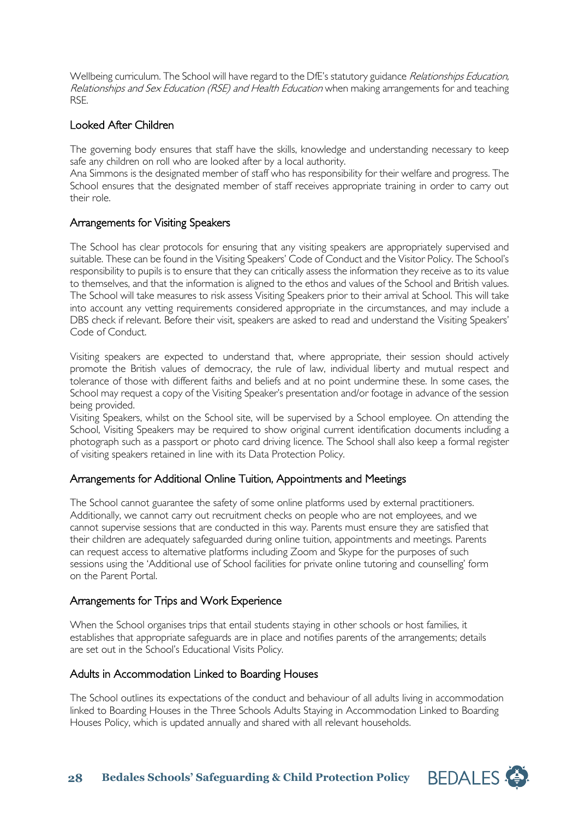Wellbeing curriculum. The School will have regard to the DfE's statutory guidance Relationships Education, Relationships and Sex Education (RSE) and Health Education when making arrangements for and teaching RSE.

#### <span id="page-27-0"></span>Looked After Children

The governing body ensures that staff have the skills, knowledge and understanding necessary to keep safe any children on roll who are looked after by a local authority.

Ana Simmons is the designated member of staff who has responsibility for their welfare and progress. The School ensures that the designated member of staff receives appropriate training in order to carry out their role.

#### <span id="page-27-1"></span>Arrangements for Visiting Speakers

The School has clear protocols for ensuring that any visiting speakers are appropriately supervised and suitable. These can be found in the Visiting Speakers' Code of Conduct and the Visitor Policy. The School's responsibility to pupils is to ensure that they can critically assess the information they receive as to its value to themselves, and that the information is aligned to the ethos and values of the School and British values. The School will take measures to risk assess Visiting Speakers prior to their arrival at School. This will take into account any vetting requirements considered appropriate in the circumstances, and may include a DBS check if relevant. Before their visit, speakers are asked to read and understand the Visiting Speakers' Code of Conduct.

Visiting speakers are expected to understand that, where appropriate, their session should actively promote the British values of democracy, the rule of law, individual liberty and mutual respect and tolerance of those with different faiths and beliefs and at no point undermine these. In some cases, the School may request a copy of the Visiting Speaker's presentation and/or footage in advance of the session being provided.

Visiting Speakers, whilst on the School site, will be supervised by a School employee. On attending the School, Visiting Speakers may be required to show original current identification documents including a photograph such as a passport or photo card driving licence. The School shall also keep a formal register of visiting speakers retained in line with its Data Protection Policy.

#### <span id="page-27-2"></span>Arrangements for Additional Online Tuition, Appointments and Meetings

The School cannot guarantee the safety of some online platforms used by external practitioners. Additionally, we cannot carry out recruitment checks on people who are not employees, and we cannot supervise sessions that are conducted in this way. Parents must ensure they are satisfied that their children are adequately safeguarded during online tuition, appointments and meetings. Parents can request access to alternative platforms including Zoom and Skype for the purposes of such sessions using the 'Additional use of School facilities for private online tutoring and counselling' form on the Parent Portal.

#### <span id="page-27-3"></span>Arrangements for Trips and Work Experience

When the School organises trips that entail students staying in other schools or host families, it establishes that appropriate safeguards are in place and notifies parents of the arrangements; details are set out in the School's Educational Visits Policy.

#### <span id="page-27-4"></span>Adults in Accommodation Linked to Boarding Houses

The School outlines its expectations of the conduct and behaviour of all adults living in accommodation linked to Boarding Houses in the Three Schools Adults Staying in Accommodation Linked to Boarding Houses Policy, which is updated annually and shared with all relevant households.

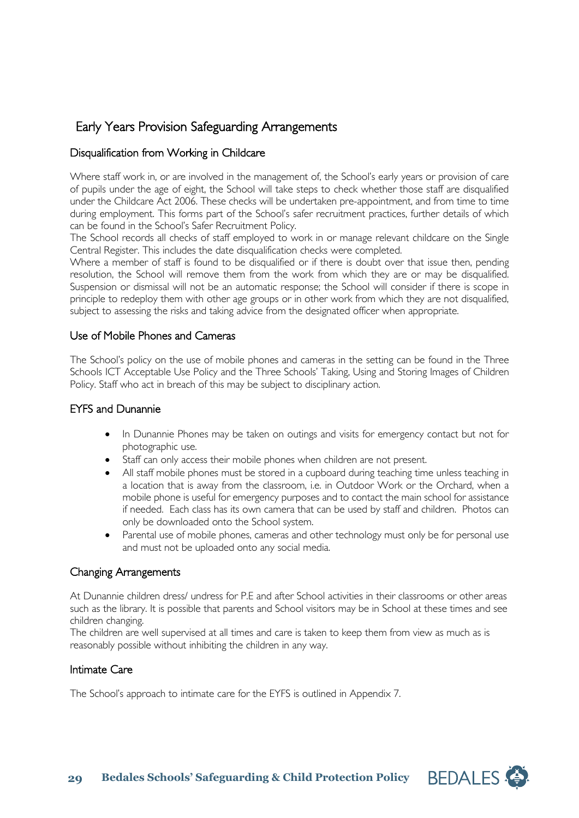## <span id="page-28-0"></span>Early Years Provision Safeguarding Arrangements

#### <span id="page-28-1"></span>Disqualification from Working in Childcare

Where staff work in, or are involved in the management of, the School's early years or provision of care of pupils under the age of eight, the School will take steps to check whether those staff are disqualified under the Childcare Act 2006. These checks will be undertaken pre-appointment, and from time to time during employment. This forms part of the School's safer recruitment practices, further details of which can be found in the School's Safer Recruitment Policy.

The School records all checks of staff employed to work in or manage relevant childcare on the Single Central Register. This includes the date disqualification checks were completed.

Where a member of staff is found to be disqualified or if there is doubt over that issue then, pending resolution, the School will remove them from the work from which they are or may be disqualified. Suspension or dismissal will not be an automatic response; the School will consider if there is scope in principle to redeploy them with other age groups or in other work from which they are not disqualified, subject to assessing the risks and taking advice from the designated officer when appropriate.

#### <span id="page-28-2"></span>Use of Mobile Phones and Cameras

The School's policy on the use of mobile phones and cameras in the setting can be found in the Three Schools ICT Acceptable Use Policy and the Three Schools' Taking, Using and Storing Images of Children Policy. Staff who act in breach of this may be subject to disciplinary action.

#### <span id="page-28-3"></span>EYFS and Dunannie

- In Dunannie Phones may be taken on outings and visits for emergency contact but not for photographic use.
- Staff can only access their mobile phones when children are not present.
- All staff mobile phones must be stored in a cupboard during teaching time unless teaching in a location that is away from the classroom, i.e. in Outdoor Work or the Orchard, when a mobile phone is useful for emergency purposes and to contact the main school for assistance if needed. Each class has its own camera that can be used by staff and children. Photos can only be downloaded onto the School system.
- Parental use of mobile phones, cameras and other technology must only be for personal use and must not be uploaded onto any social media.

#### <span id="page-28-4"></span>Changing Arrangements

At Dunannie children dress/ undress for P.E and after School activities in their classrooms or other areas such as the library. It is possible that parents and School visitors may be in School at these times and see children changing.

The children are well supervised at all times and care is taken to keep them from view as much as is reasonably possible without inhibiting the children in any way.

#### <span id="page-28-5"></span>Intimate Care

The School's approach to intimate care for the EYFS is outlined in Appendix 7.

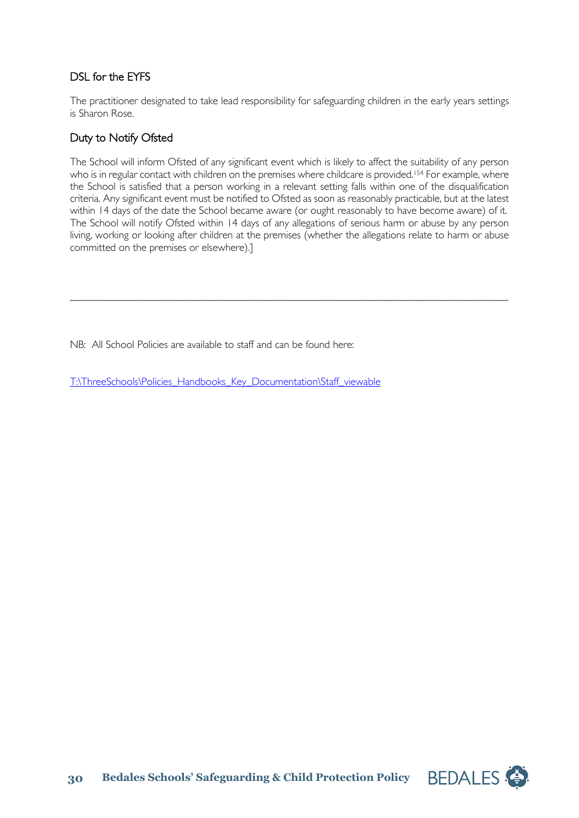## <span id="page-29-0"></span>DSL for the EYFS

The practitioner designated to take lead responsibility for safeguarding children in the early years settings is Sharon Rose.

#### <span id="page-29-1"></span>Duty to Notify Ofsted

The School will inform Ofsted of any significant event which is likely to affect the suitability of any person who is in regular contact with children on the premises where childcare is provided.<sup>154</sup> For example, where the School is satisfied that a person working in a relevant setting falls within one of the disqualification criteria. Any significant event must be notified to Ofsted as soon as reasonably practicable, but at the latest within 14 days of the date the School became aware (or ought reasonably to have become aware) of it. The School will notify Ofsted within 14 days of any allegations of serious harm or abuse by any person living, working or looking after children at the premises (whether the allegations relate to harm or abuse committed on the premises or elsewhere).]

\_\_\_\_\_\_\_\_\_\_\_\_\_\_\_\_\_\_\_\_\_\_\_\_\_\_\_\_\_\_\_\_\_\_\_\_\_\_\_\_\_\_\_\_\_\_\_\_\_\_\_\_\_\_\_\_\_\_\_\_\_\_\_\_\_\_\_\_\_\_\_\_\_\_\_\_\_\_\_\_\_\_

NB: All School Policies are available to staff and can be found here:

[T:\ThreeSchools\Policies\\_Handbooks\\_Key\\_Documentation\Staff\\_viewable](file://vm-009-fs/root$/ThreeSchools/Policies_Handbooks_Key_Documentation/Staff_viewable)

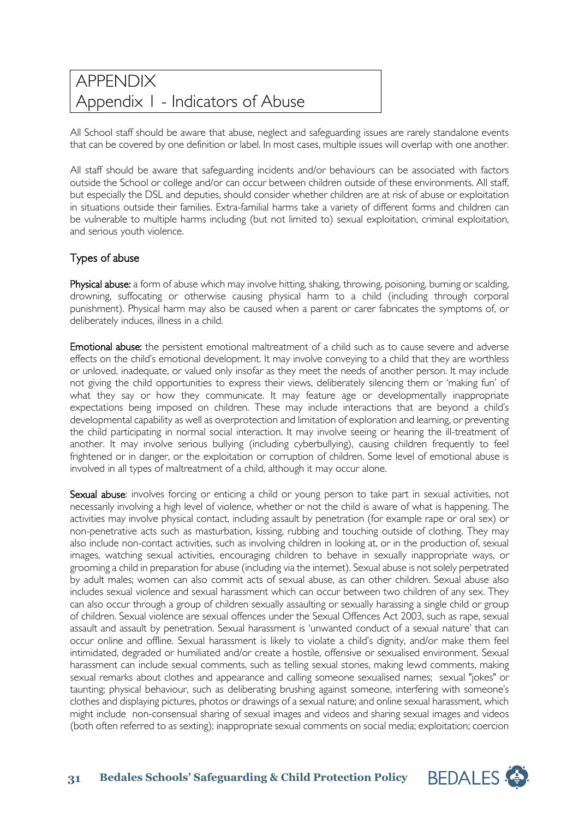# <span id="page-30-1"></span><span id="page-30-0"></span>APPENDIX Appendix 1 - Indicators of Abuse

All School staff should be aware that abuse, neglect and safeguarding issues are rarely standalone events that can be covered by one definition or label. In most cases, multiple issues will overlap with one another.

All staff should be aware that safeguarding incidents and/or behaviours can be associated with factors outside the School or college and/or can occur between children outside of these environments. All staff, but especially the DSL and deputies, should consider whether children are at risk of abuse or exploitation in situations outside their families. Extra-familial harms take a variety of different forms and children can be vulnerable to multiple harms including (but not limited to) sexual exploitation, criminal exploitation, and serious youth violence.

#### <span id="page-30-2"></span>Types of abuse

Physical abuse: a form of abuse which may involve hitting, shaking, throwing, poisoning, burning or scalding, drowning, suffocating or otherwise causing physical harm to a child (including through corporal punishment). Physical harm may also be caused when a parent or carer fabricates the symptoms of, or deliberately induces, illness in a child.

Emotional abuse: the persistent emotional maltreatment of a child such as to cause severe and adverse effects on the child's emotional development. It may involve conveying to a child that they are worthless or unloved, inadequate, or valued only insofar as they meet the needs of another person. It may include not giving the child opportunities to express their views, deliberately silencing them or 'making fun' of what they say or how they communicate. It may feature age or developmentally inappropriate expectations being imposed on children. These may include interactions that are beyond a child's developmental capability as well as overprotection and limitation of exploration and learning, or preventing the child participating in normal social interaction. It may involve seeing or hearing the ill-treatment of another. It may involve serious bullying (including cyberbullying), causing children frequently to feel frightened or in danger, or the exploitation or corruption of children. Some level of emotional abuse is involved in all types of maltreatment of a child, although it may occur alone.

Sexual abuse: involves forcing or enticing a child or young person to take part in sexual activities, not necessarily involving a high level of violence, whether or not the child is aware of what is happening. The activities may involve physical contact, including assault by penetration (for example rape or oral sex) or non-penetrative acts such as masturbation, kissing, rubbing and touching outside of clothing. They may also include non-contact activities, such as involving children in looking at, or in the production of, sexual images, watching sexual activities, encouraging children to behave in sexually inappropriate ways, or grooming a child in preparation for abuse (including via the internet). Sexual abuse is not solely perpetrated by adult males; women can also commit acts of sexual abuse, as can other children. Sexual abuse also includes sexual violence and sexual harassment which can occur between two children of any sex. They can also occur through a group of children sexually assaulting or sexually harassing a single child or group of children. Sexual violence are sexual offences under the Sexual Offences Act 2003, such as rape, sexual assault and assault by penetration. Sexual harassment is 'unwanted conduct of a sexual nature' that can occur online and offline. Sexual harassment is likely to violate a child's dignity, and/or make them feel intimidated, degraded or humiliated and/or create a hostile, offensive or sexualised environment. Sexual harassment can include sexual comments, such as telling sexual stories, making lewd comments, making sexual remarks about clothes and appearance and calling someone sexualised names; sexual "jokes" or taunting; physical behaviour, such as deliberating brushing against someone, interfering with someone's clothes and displaying pictures, photos or drawings of a sexual nature; and online sexual harassment, which might include non-consensual sharing of sexual images and videos and sharing sexual images and videos (both often referred to as sexting); inappropriate sexual comments on social media; exploitation; coercion

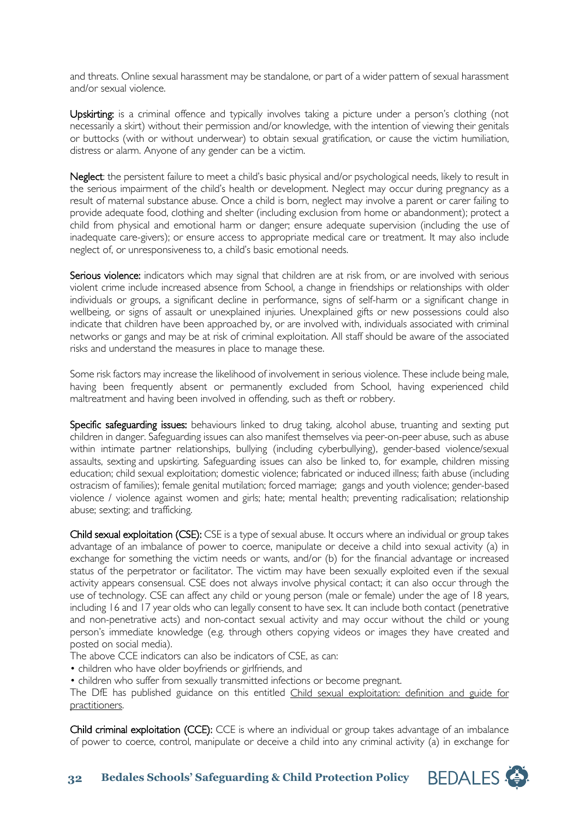and threats. Online sexual harassment may be standalone, or part of a wider pattern of sexual harassment and/or sexual violence.

Upskirting: is a criminal offence and typically involves taking a picture under a person's clothing (not necessarily a skirt) without their permission and/or knowledge, with the intention of viewing their genitals or buttocks (with or without underwear) to obtain sexual gratification, or cause the victim humiliation, distress or alarm. Anyone of any gender can be a victim.

Neglect: the persistent failure to meet a child's basic physical and/or psychological needs, likely to result in the serious impairment of the child's health or development. Neglect may occur during pregnancy as a result of maternal substance abuse. Once a child is born, neglect may involve a parent or carer failing to provide adequate food, clothing and shelter (including exclusion from home or abandonment); protect a child from physical and emotional harm or danger; ensure adequate supervision (including the use of inadequate care-givers); or ensure access to appropriate medical care or treatment. It may also include neglect of, or unresponsiveness to, a child's basic emotional needs.

Serious violence: indicators which may signal that children are at risk from, or are involved with serious violent crime include increased absence from School, a change in friendships or relationships with older individuals or groups, a significant decline in performance, signs of self-harm or a significant change in wellbeing, or signs of assault or unexplained injuries. Unexplained gifts or new possessions could also indicate that children have been approached by, or are involved with, individuals associated with criminal networks or gangs and may be at risk of criminal exploitation. All staff should be aware of the associated risks and understand the measures in place to manage these.

Some risk factors may increase the likelihood of involvement in serious violence. These include being male, having been frequently absent or permanently excluded from School, having experienced child maltreatment and having been involved in offending, such as theft or robbery.

Specific safeguarding issues: behaviours linked to drug taking, alcohol abuse, truanting and sexting put children in danger. Safeguarding issues can also manifest themselves via peer-on-peer abuse, such as abuse within intimate partner relationships, bullying (including cyberbullying), gender-based violence/sexual assaults, sexting and upskirting. Safeguarding issues can also be linked to, for example, children missing education; child sexual exploitation; domestic violence; fabricated or induced illness; faith abuse (including ostracism of families); female genital mutilation; forced marriage; gangs and youth violence; gender-based violence / violence against women and girls; hate; mental health; preventing radicalisation; relationship abuse; sexting; and trafficking.

Child sexual exploitation (CSE): CSE is a type of sexual abuse. It occurs where an individual or group takes advantage of an imbalance of power to coerce, manipulate or deceive a child into sexual activity (a) in exchange for something the victim needs or wants, and/or (b) for the financial advantage or increased status of the perpetrator or facilitator. The victim may have been sexually exploited even if the sexual activity appears consensual. CSE does not always involve physical contact; it can also occur through the use of technology. CSE can affect any child or young person (male or female) under the age of 18 years, including 16 and 17 year olds who can legally consent to have sex. It can include both contact (penetrative and non-penetrative acts) and non-contact sexual activity and may occur without the child or young person's immediate knowledge (e.g. through others copying videos or images they have created and posted on social media).

The above CCE indicators can also be indicators of CSE, as can:

- children who have older boyfriends or girlfriends, and
- children who suffer from sexually transmitted infections or become pregnant.

The DfE has published guidance on this entitled [Child sexual exploitation: definition and guide for](https://assets.publishing.service.gov.uk/government/uploads/system/uploads/attachment_data/file/591903/CSE_Guidance_Core_Document_13.02.2017.pdf)  [practitioners.](https://assets.publishing.service.gov.uk/government/uploads/system/uploads/attachment_data/file/591903/CSE_Guidance_Core_Document_13.02.2017.pdf)

Child criminal exploitation (CCE): CCE is where an individual or group takes advantage of an imbalance of power to coerce, control, manipulate or deceive a child into any criminal activity (a) in exchange for

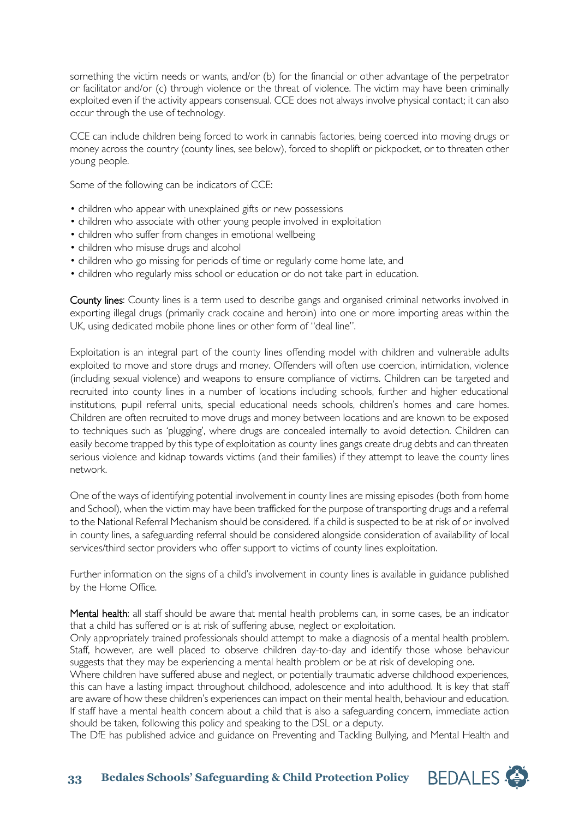something the victim needs or wants, and/or (b) for the financial or other advantage of the perpetrator or facilitator and/or (c) through violence or the threat of violence. The victim may have been criminally exploited even if the activity appears consensual. CCE does not always involve physical contact; it can also occur through the use of technology.

CCE can include children being forced to work in cannabis factories, being coerced into moving drugs or money across the country (county lines, see below), forced to shoplift or pickpocket, or to threaten other young people.

Some of the following can be indicators of CCE:

- children who appear with unexplained gifts or new possessions
- children who associate with other young people involved in exploitation
- children who suffer from changes in emotional wellbeing
- children who misuse drugs and alcohol
- children who go missing for periods of time or regularly come home late, and
- children who regularly miss school or education or do not take part in education.

County lines: County lines is a term used to describe gangs and organised criminal networks involved in exporting illegal drugs (primarily crack cocaine and heroin) into one or more importing areas within the UK, using dedicated mobile phone lines or other form of "deal line".

Exploitation is an integral part of the county lines offending model with children and vulnerable adults exploited to move and store drugs and money. Offenders will often use coercion, intimidation, violence (including sexual violence) and weapons to ensure compliance of victims. Children can be targeted and recruited into county lines in a number of locations including schools, further and higher educational institutions, pupil referral units, special educational needs schools, children's homes and care homes. Children are often recruited to move drugs and money between locations and are known to be exposed to techniques such as 'plugging', where drugs are concealed internally to avoid detection. Children can easily become trapped by this type of exploitation as county lines gangs create drug debts and can threaten serious violence and kidnap towards victims (and their families) if they attempt to leave the county lines network.

One of the ways of identifying potential involvement in county lines are missing episodes (both from home and School), when the victim may have been trafficked for the purpose of transporting drugs and a referral to the National Referral Mechanism should be considered. If a child is suspected to be at risk of or involved in county lines, a safeguarding referral should be considered alongside consideration of availability of local services/third sector providers who offer support to victims of county lines exploitation.

Further information on the signs of a child's involvement in county lines is available in guidance published by the Home Office.

Mental health: all staff should be aware that mental health problems can, in some cases, be an indicator that a child has suffered or is at risk of suffering abuse, neglect or exploitation.

Only appropriately trained professionals should attempt to make a diagnosis of a mental health problem. Staff, however, are well placed to observe children day-to-day and identify those whose behaviour suggests that they may be experiencing a mental health problem or be at risk of developing one.

Where children have suffered abuse and neglect, or potentially traumatic adverse childhood experiences, this can have a lasting impact throughout childhood, adolescence and into adulthood. It is key that staff are aware of how these children's experiences can impact on their mental health, behaviour and education. If staff have a mental health concern about a child that is also a safeguarding concern, immediate action should be taken, following this policy and speaking to the DSL or a deputy.

The DfE has published advice and guidance on Preventing and Tackling Bullying, and Mental Health and

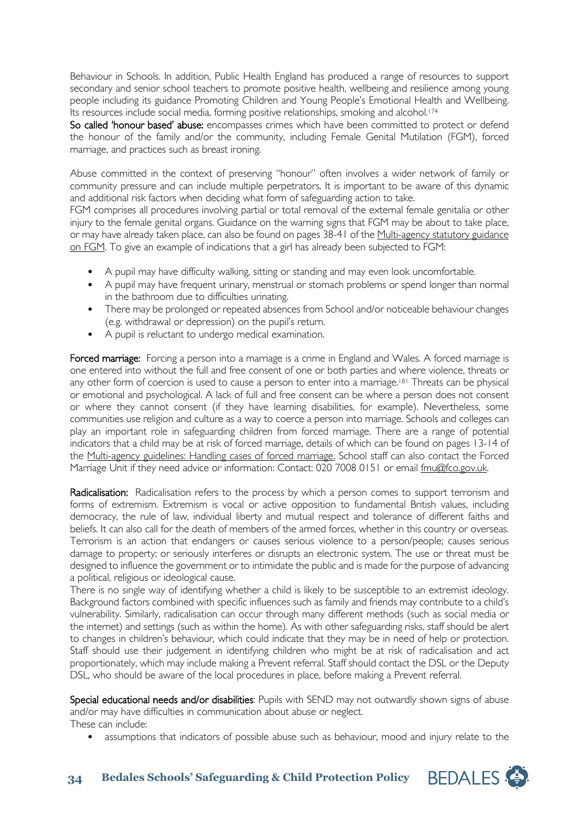Behaviour in Schools. In addition, Public Health England has produced a range of resources to support secondary and senior school teachers to promote positive health, wellbeing and resilience among young people including its guidance Promoting Children and Young People's Emotional Health and Wellbeing. Its resources include social media, forming positive relationships, smoking and alcohol.<sup>174</sup>

So called 'honour based' abuse: encompasses crimes which have been committed to protect or defend the honour of the family and/or the community, including Female Genital Mutilation (FGM), forced marriage, and practices such as breast ironing.

Abuse committed in the context of preserving "honour" often involves a wider network of family or community pressure and can include multiple perpetrators. It is important to be aware of this dynamic and additional risk factors when deciding what form of safeguarding action to take.

FGM comprises all procedures involving partial or total removal of the external female genitalia or other injury to the female genital organs. Guidance on the warning signs that FGM may be about to take place, or may have already taken place, can also be found on pages 38-41 of the Multi-agency statutory guidance [on FGM.](https://www.gov.uk/government/publications/multi-agency-statutory-guidance-on-female-genital-mutilation) To give an example of indications that a girl has already been subjected to FGM:

- A pupil may have difficulty walking, sitting or standing and may even look uncomfortable.
- A pupil may have frequent urinary, menstrual or stomach problems or spend longer than normal in the bathroom due to difficulties urinating.
- There may be prolonged or repeated absences from School and/or noticeable behaviour changes (e.g. withdrawal or depression) on the pupil's return.
- A pupil is reluctant to undergo medical examination.

Forced marriage: Forcing a person into a marriage is a crime in England and Wales. A forced marriage is one entered into without the full and free consent of one or both parties and where violence, threats or any other form of coercion is used to cause a person to enter into a marriage.<sup>181</sup> Threats can be physical or emotional and psychological. A lack of full and free consent can be where a person does not consent or where they cannot consent (if they have learning disabilities, for example). Nevertheless, some communities use religion and culture as a way to coerce a person into marriage. Schools and colleges can play an important role in safeguarding children from forced marriage. There are a range of potential indicators that a child may be at risk of forced marriage, details of which can be found on pages 13-14 of the [Multi-agency guidelines: Handling cases of forced marriage.](https://www.gov.uk/guidance/forced-marriage) School staff can also contact the Forced Marriage Unit if they need advice or information: Contact: 020 7008 0151 or email [fmu@fco.gov.uk.](mailto:fmu@fco.gov.uk)

Radicalisation: Radicalisation refers to the process by which a person comes to support terrorism and forms of extremism. Extremism is vocal or active opposition to fundamental British values, including democracy, the rule of law, individual liberty and mutual respect and tolerance of different faiths and beliefs. It can also call for the death of members of the armed forces, whether in this country or overseas. Terrorism is an action that endangers or causes serious violence to a person/people; causes serious damage to property; or seriously interferes or disrupts an electronic system. The use or threat must be designed to influence the government or to intimidate the public and is made for the purpose of advancing a political, religious or ideological cause.

There is no single way of identifying whether a child is likely to be susceptible to an extremist ideology. Background factors combined with specific influences such as family and friends may contribute to a child's vulnerability. Similarly, radicalisation can occur through many different methods (such as social media or the internet) and settings (such as within the home). As with other safeguarding risks, staff should be alert to changes in children's behaviour, which could indicate that they may be in need of help or protection. Staff should use their judgement in identifying children who might be at risk of radicalisation and act proportionately, which may include making a Prevent referral. Staff should contact the DSL or the Deputy DSL, who should be aware of the local procedures in place, before making a Prevent referral.

Special educational needs and/or disabilities: Pupils with SEND may not outwardly shown signs of abuse and/or may have difficulties in communication about abuse or neglect. These can include:

• assumptions that indicators of possible abuse such as behaviour, mood and injury relate to the

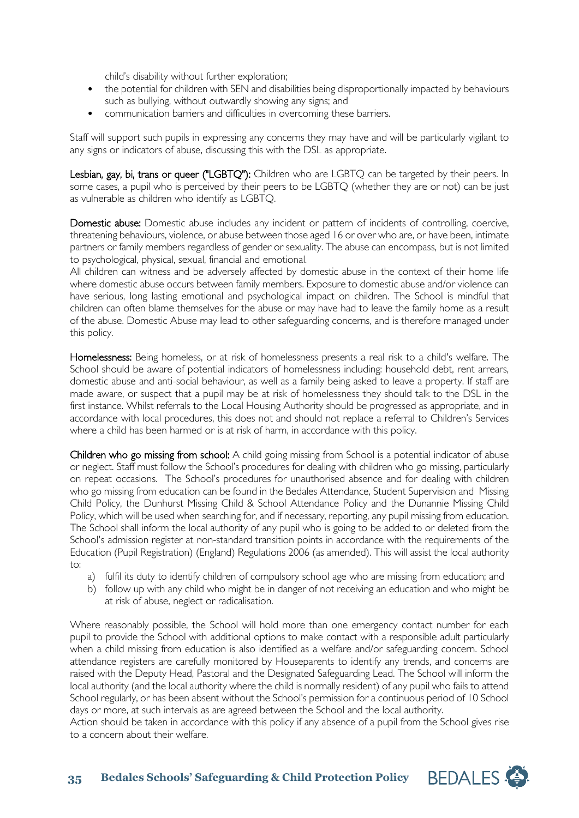child's disability without further exploration;

- the potential for children with SEN and disabilities being disproportionally impacted by behaviours such as bullying, without outwardly showing any signs; and
- communication barriers and difficulties in overcoming these barriers.

Staff will support such pupils in expressing any concerns they may have and will be particularly vigilant to any signs or indicators of abuse, discussing this with the DSL as appropriate.

Lesbian, gay, bi, trans or queer ("LGBTQ"): Children who are LGBTQ can be targeted by their peers. In some cases, a pupil who is perceived by their peers to be LGBTQ (whether they are or not) can be just as vulnerable as children who identify as LGBTQ.

Domestic abuse: Domestic abuse includes any incident or pattern of incidents of controlling, coercive, threatening behaviours, violence, or abuse between those aged 16 or over who are, or have been, intimate partners or family members regardless of gender or sexuality. The abuse can encompass, but is not limited to psychological, physical, sexual, financial and emotional.

All children can witness and be adversely affected by domestic abuse in the context of their home life where domestic abuse occurs between family members. Exposure to domestic abuse and/or violence can have serious, long lasting emotional and psychological impact on children. The School is mindful that children can often blame themselves for the abuse or may have had to leave the family home as a result of the abuse. Domestic Abuse may lead to other safeguarding concerns, and is therefore managed under this policy.

Homelessness: Being homeless, or at risk of homelessness presents a real risk to a child's welfare. The School should be aware of potential indicators of homelessness including: household debt, rent arrears, domestic abuse and anti-social behaviour, as well as a family being asked to leave a property. If staff are made aware, or suspect that a pupil may be at risk of homelessness they should talk to the DSL in the first instance. Whilst referrals to the Local Housing Authority should be progressed as appropriate, and in accordance with local procedures, this does not and should not replace a referral to Children's Services where a child has been harmed or is at risk of harm, in accordance with this policy.

Children who go missing from school: A child going missing from School is a potential indicator of abuse or neglect. Staff must follow the School's procedures for dealing with children who go missing, particularly on repeat occasions. The School's procedures for unauthorised absence and for dealing with children who go missing from education can be found in the Bedales Attendance, Student Supervision and Missing Child Policy, the Dunhurst Missing Child & School Attendance Policy and the Dunannie Missing Child Policy, which will be used when searching for, and if necessary, reporting, any pupil missing from education. The School shall inform the local authority of any pupil who is going to be added to or deleted from the School's admission register at non-standard transition points in accordance with the requirements of the Education (Pupil Registration) (England) Regulations 2006 (as amended). This will assist the local authority to:

- a) fulfil its duty to identify children of compulsory school age who are missing from education; and
- b) follow up with any child who might be in danger of not receiving an education and who might be at risk of abuse, neglect or radicalisation.

Where reasonably possible, the School will hold more than one emergency contact number for each pupil to provide the School with additional options to make contact with a responsible adult particularly when a child missing from education is also identified as a welfare and/or safeguarding concern. School attendance registers are carefully monitored by Houseparents to identify any trends, and concerns are raised with the Deputy Head, Pastoral and the Designated Safeguarding Lead. The School will inform the local authority (and the local authority where the child is normally resident) of any pupil who fails to attend School regularly, or has been absent without the School's permission for a continuous period of 10 School days or more, at such intervals as are agreed between the School and the local authority.

Action should be taken in accordance with this policy if any absence of a pupil from the School gives rise to a concern about their welfare.

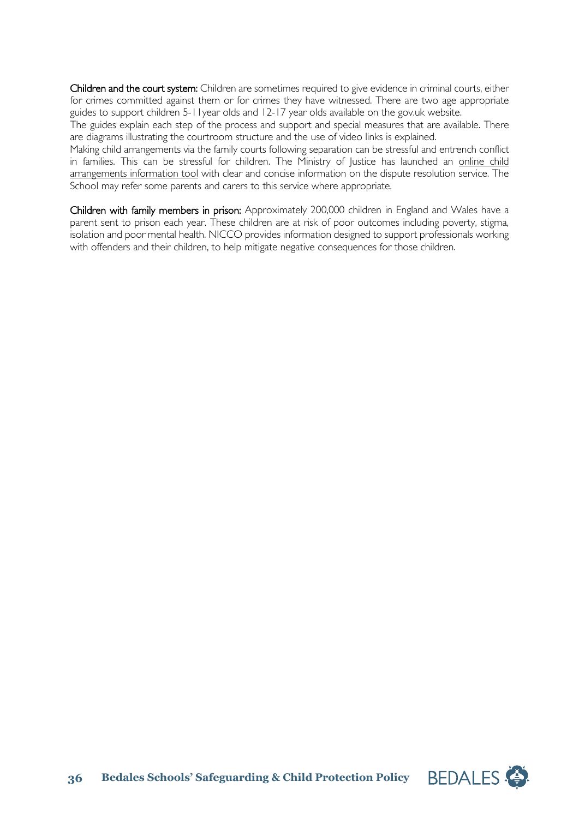Children and the court system: Children are sometimes required to give evidence in criminal courts, either for crimes committed against them or for crimes they have witnessed. There are two age appropriate guides to support children 5-11year olds and 12-17 year olds available on the gov.uk website.

The guides explain each step of the process and support and special measures that are available. There are diagrams illustrating the courtroom structure and the use of video links is explained.

Making child arrangements via the family courts following separation can be stressful and entrench conflict in families. This can be stressful for children. The Ministry of Justice has launched an online child [arrangements information tool](https://helpwithchildarrangements.service.justice.gov.uk/) with clear and concise information on the dispute resolution service. The School may refer some parents and carers to this service where appropriate.

Children with family members in prison: Approximately 200,000 children in England and Wales have a parent sent to prison each year. These children are at risk of poor outcomes including poverty, stigma, isolation and poor mental health. NICCO provides information designed to support professionals working with offenders and their children, to help mitigate negative consequences for those children.



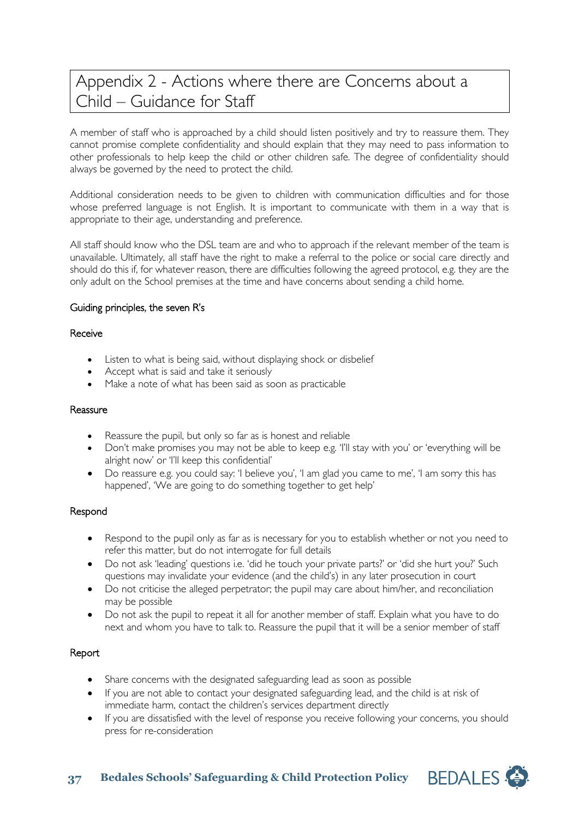# <span id="page-36-0"></span>Appendix 2 - Actions where there are Concerns about a Child – Guidance for Staff

A member of staff who is approached by a child should listen positively and try to reassure them. They cannot promise complete confidentiality and should explain that they may need to pass information to other professionals to help keep the child or other children safe. The degree of confidentiality should always be governed by the need to protect the child.

Additional consideration needs to be given to children with communication difficulties and for those whose preferred language is not English. It is important to communicate with them in a way that is appropriate to their age, understanding and preference.

All staff should know who the DSL team are and who to approach if the relevant member of the team is unavailable. Ultimately, all staff have the right to make a referral to the police or social care directly and should do this if, for whatever reason, there are difficulties following the agreed protocol, e.g. they are the only adult on the School premises at the time and have concerns about sending a child home.

#### Guiding principles, the seven R's

#### Receive

- Listen to what is being said, without displaying shock or disbelief
- Accept what is said and take it seriously
- Make a note of what has been said as soon as practicable

#### Reassure

- Reassure the pupil, but only so far as is honest and reliable
- Don't make promises you may not be able to keep e.g. 'I'll stay with you' or 'everything will be alright now' or 'I'll keep this confidential'
- Do reassure e.g. you could say: 'I believe you', 'I am glad you came to me', 'I am sorry this has happened', 'We are going to do something together to get help'

#### Respond

- Respond to the pupil only as far as is necessary for you to establish whether or not you need to refer this matter, but do not interrogate for full details
- Do not ask 'leading' questions i.e. 'did he touch your private parts?' or 'did she hurt you?' Such questions may invalidate your evidence (and the child's) in any later prosecution in court
- Do not criticise the alleged perpetrator; the pupil may care about him/her, and reconciliation may be possible
- Do not ask the pupil to repeat it all for another member of staff. Explain what you have to do next and whom you have to talk to. Reassure the pupil that it will be a senior member of staff

#### Report

- Share concerns with the designated safeguarding lead as soon as possible
- If you are not able to contact your designated safeguarding lead, and the child is at risk of immediate harm, contact the children's services department directly
- If you are dissatisfied with the level of response you receive following your concerns, you should press for re-consideration

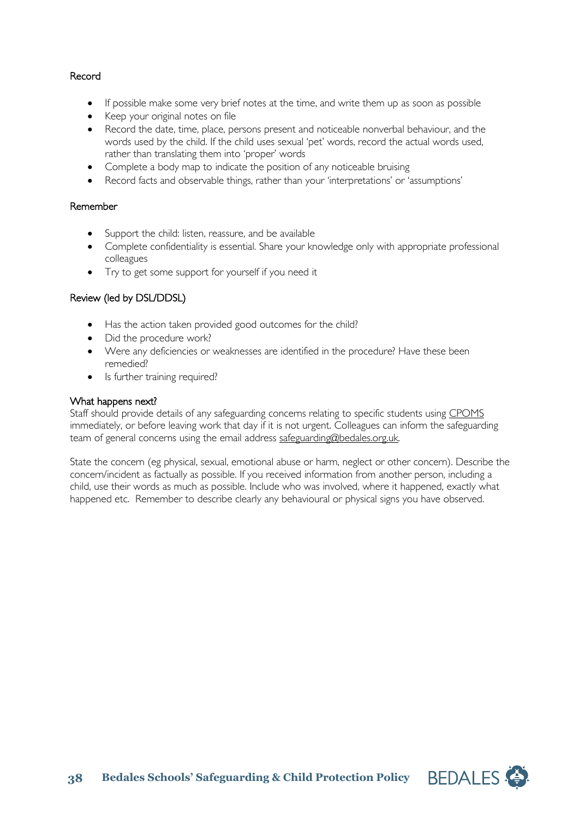#### Record

- If possible make some very brief notes at the time, and write them up as soon as possible
- Keep your original notes on file
- Record the date, time, place, persons present and noticeable nonverbal behaviour, and the words used by the child. If the child uses sexual 'pet' words, record the actual words used, rather than translating them into 'proper' words
- Complete a body map to indicate the position of any noticeable bruising
- Record facts and observable things, rather than your 'interpretations' or 'assumptions'

#### Remember

- Support the child: listen, reassure, and be available
- Complete confidentiality is essential. Share your knowledge only with appropriate professional colleagues
- Try to get some support for yourself if you need it

#### Review (led by DSL/DDSL)

- Has the action taken provided good outcomes for the child?
- Did the procedure work?
- Were any deficiencies or weaknesses are identified in the procedure? Have these been remedied?
- Is further training required?

#### What happens next?

Staff should provide details of any safeguarding concerns relating to specific students using [CPOMS](https://bedales.cpoms.net/auth/identity?origin=https://bedales.cpoms.net/) immediately, or before leaving work that day if it is not urgent. Colleagues can inform the safeguarding team of general concerns using the email address safeguarding@bedales.org.uk.

State the concern (eg physical, sexual, emotional abuse or harm, neglect or other concern). Describe the concern/incident as factually as possible. If you received information from another person, including a child, use their words as much as possible. Include who was involved, where it happened, exactly what happened etc. Remember to describe clearly any behavioural or physical signs you have observed.



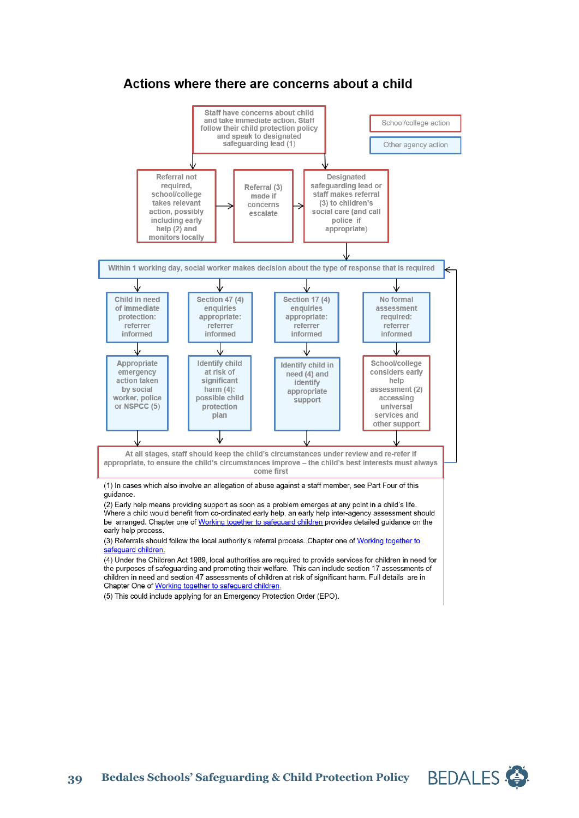

#### Actions where there are concerns about a child

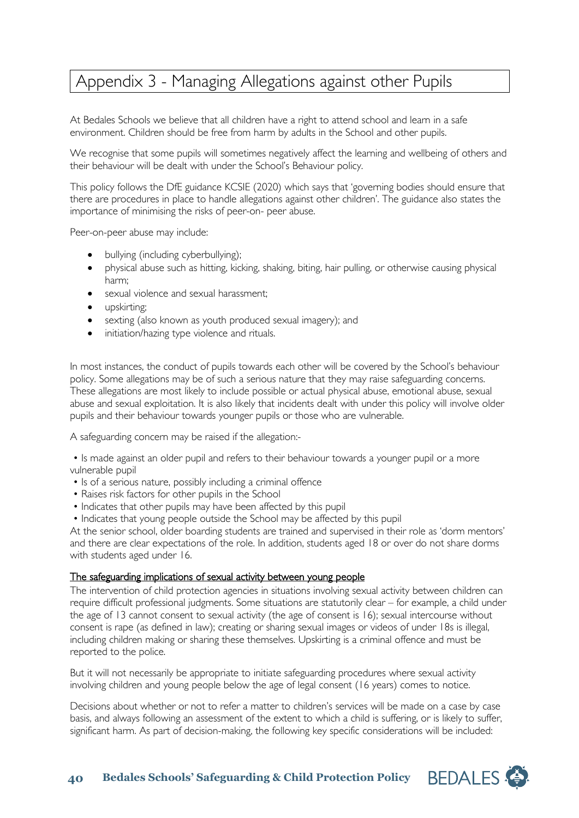# <span id="page-39-0"></span>Appendix 3 - Managing Allegations against other Pupils

At Bedales Schools we believe that all children have a right to attend school and learn in a safe environment. Children should be free from harm by adults in the School and other pupils.

We recognise that some pupils will sometimes negatively affect the learning and wellbeing of others and their behaviour will be dealt with under the School's Behaviour policy.

This policy follows the DfE guidance KCSIE (2020) which says that 'governing bodies should ensure that there are procedures in place to handle allegations against other children'. The guidance also states the importance of minimising the risks of peer-on- peer abuse.

Peer-on-peer abuse may include:

- bullying (including cyberbullying);
- physical abuse such as hitting, kicking, shaking, biting, hair pulling, or otherwise causing physical harm;
- sexual violence and sexual harassment;
- upskirting;
- sexting (also known as youth produced sexual imagery); and
- initiation/hazing type violence and rituals.

In most instances, the conduct of pupils towards each other will be covered by the School's behaviour policy. Some allegations may be of such a serious nature that they may raise safeguarding concerns. These allegations are most likely to include possible or actual physical abuse, emotional abuse, sexual abuse and sexual exploitation. It is also likely that incidents dealt with under this policy will involve older pupils and their behaviour towards younger pupils or those who are vulnerable.

A safeguarding concern may be raised if the allegation:-

• Is made against an older pupil and refers to their behaviour towards a younger pupil or a more vulnerable pupil

- Is of a serious nature, possibly including a criminal offence
- Raises risk factors for other pupils in the School
- Indicates that other pupils may have been affected by this pupil
- Indicates that young people outside the School may be affected by this pupil

At the senior school, older boarding students are trained and supervised in their role as 'dorm mentors' and there are clear expectations of the role. In addition, students aged 18 or over do not share dorms with students aged under 16.

#### The safeguarding implications of sexual activity between young people

The intervention of child protection agencies in situations involving sexual activity between children can require difficult professional judgments. Some situations are statutorily clear – for example, a child under the age of 13 cannot consent to sexual activity (the age of consent is 16); sexual intercourse without consent is rape (as defined in law); creating or sharing sexual images or videos of under 18s is illegal, including children making or sharing these themselves. Upskirting is a criminal offence and must be reported to the police.

But it will not necessarily be appropriate to initiate safeguarding procedures where sexual activity involving children and young people below the age of legal consent (16 years) comes to notice.

Decisions about whether or not to refer a matter to children's services will be made on a case by case basis, and always following an assessment of the extent to which a child is suffering, or is likely to suffer, significant harm. As part of decision-making, the following key specific considerations will be included:

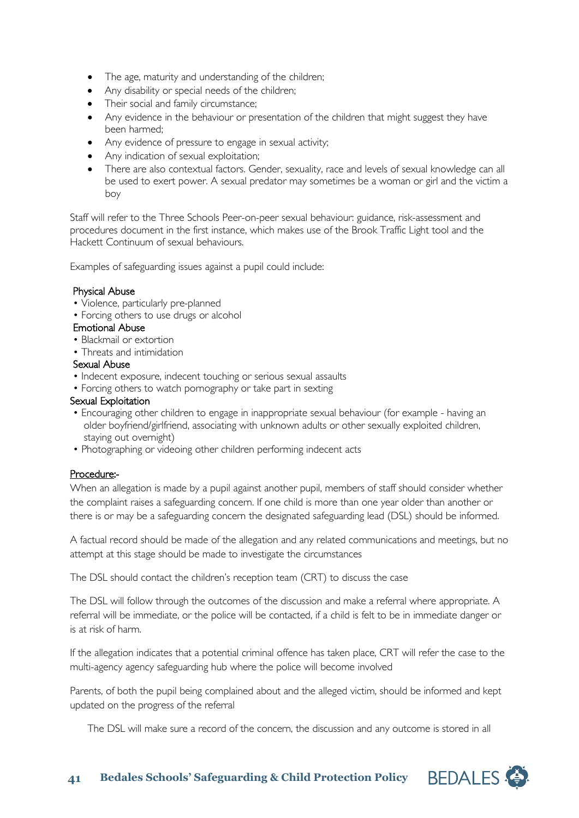- The age, maturity and understanding of the children;
- Any disability or special needs of the children;
- Their social and family circumstance:
- Any evidence in the behaviour or presentation of the children that might suggest they have been harmed;
- Any evidence of pressure to engage in sexual activity;
- Any indication of sexual exploitation;
- There are also contextual factors. Gender, sexuality, race and levels of sexual knowledge can all be used to exert power. A sexual predator may sometimes be a woman or girl and the victim a boy

Staff will refer to the Three Schools Peer-on-peer sexual behaviour: guidance, risk-assessment and procedures document in the first instance, which makes use of the Brook Traffic Light tool and the Hackett Continuum of sexual behaviours.

Examples of safeguarding issues against a pupil could include:

#### Physical Abuse

- Violence, particularly pre-planned
- Forcing others to use drugs or alcohol

#### Emotional Abuse

- Blackmail or extortion
- Threats and intimidation

#### Sexual Abuse

- Indecent exposure, indecent touching or serious sexual assaults
- Forcing others to watch pornography or take part in sexting

#### Sexual Exploitation

- Encouraging other children to engage in inappropriate sexual behaviour (for example having an older boyfriend/girlfriend, associating with unknown adults or other sexually exploited children, staying out overnight)
- Photographing or videoing other children performing indecent acts

#### Procedure:-

When an allegation is made by a pupil against another pupil, members of staff should consider whether the complaint raises a safeguarding concern. If one child is more than one year older than another or there is or may be a safeguarding concern the designated safeguarding lead (DSL) should be informed.

A factual record should be made of the allegation and any related communications and meetings, but no attempt at this stage should be made to investigate the circumstances

The DSL should contact the children's reception team (CRT) to discuss the case

The DSL will follow through the outcomes of the discussion and make a referral where appropriate. A referral will be immediate, or the police will be contacted, if a child is felt to be in immediate danger or is at risk of harm.

If the allegation indicates that a potential criminal offence has taken place, CRT will refer the case to the multi-agency agency safeguarding hub where the police will become involved

Parents, of both the pupil being complained about and the alleged victim, should be informed and kept updated on the progress of the referral

The DSL will make sure a record of the concern, the discussion and any outcome is stored in all

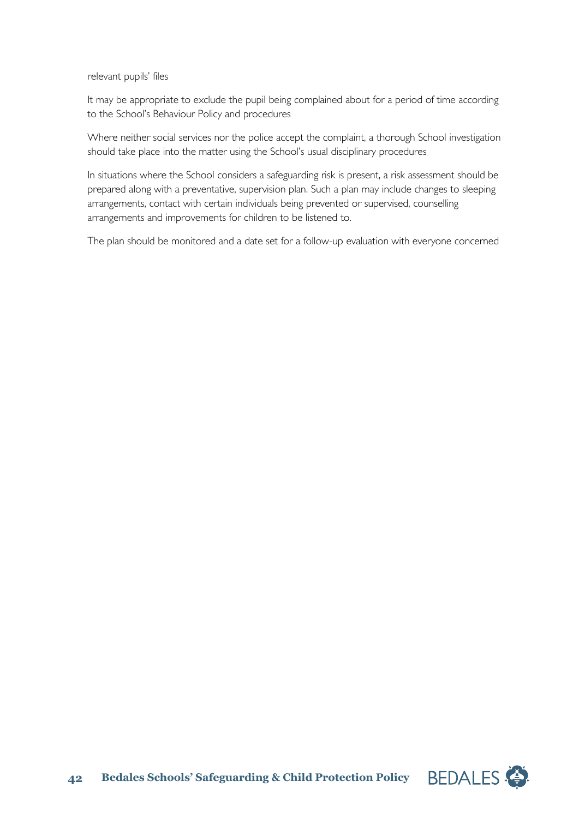relevant pupils' files

It may be appropriate to exclude the pupil being complained about for a period of time according to the School's Behaviour Policy and procedures

Where neither social services nor the police accept the complaint, a thorough School investigation should take place into the matter using the School's usual disciplinary procedures

In situations where the School considers a safeguarding risk is present, a risk assessment should be prepared along with a preventative, supervision plan. Such a plan may include changes to sleeping arrangements, contact with certain individuals being prevented or supervised, counselling arrangements and improvements for children to be listened to.

The plan should be monitored and a date set for a follow-up evaluation with everyone concerned



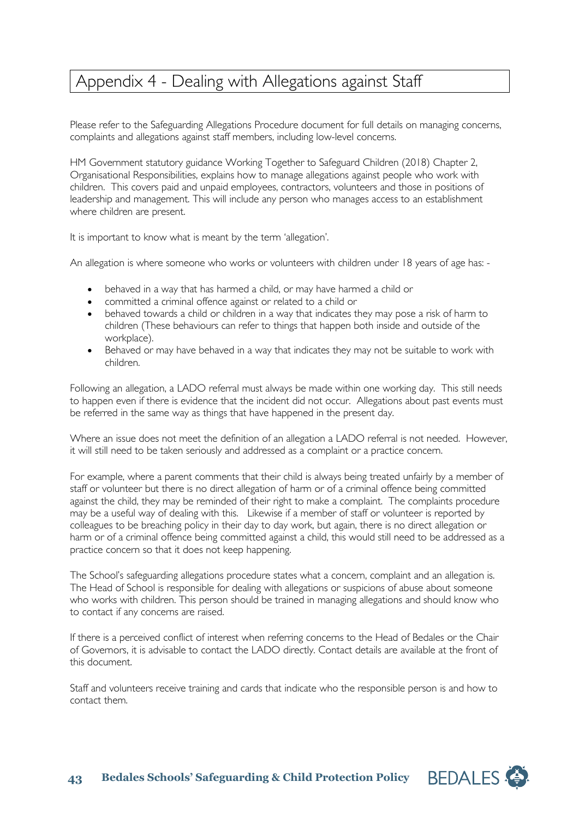# <span id="page-42-0"></span>Appendix 4 - Dealing with Allegations against Staff

Please refer to the Safeguarding Allegations Procedure document for full details on managing concerns, complaints and allegations against staff members, including low-level concerns.

HM Government statutory guidance [Working Together to Safeguard Children \(2018\)](https://www.gov.uk/government/publications/working-together-to-safeguard-children--2) Chapter 2, Organisational Responsibilities, explains how to manage allegations against people who work with children. This covers paid and unpaid employees, contractors, volunteers and those in positions of leadership and management. This will include any person who manages access to an establishment where children are present.

It is important to know what is meant by the term 'allegation'.

An allegation is where someone who works or volunteers with children under 18 years of age has: -

- behaved in a way that has harmed a child, or may have harmed a child or
- committed a criminal offence against or related to a child or
- behaved towards a child or children in a way that indicates they may pose a risk of harm to children (These behaviours can refer to things that happen both inside and outside of the workplace).
- Behaved or may have behaved in a way that indicates they may not be suitable to work with children.

Following an allegation, a LADO referral must always be made within one working day. This still needs to happen even if there is evidence that the incident did not occur. Allegations about past events must be referred in the same way as things that have happened in the present day.

Where an issue does not meet the definition of an allegation a LADO referral is not needed. However, it will still need to be taken seriously and addressed as a complaint or a practice concern.

For example, where a parent comments that their child is always being treated unfairly by a member of staff or volunteer but there is no direct allegation of harm or of a criminal offence being committed against the child, they may be reminded of their right to make a complaint. The complaints procedure may be a useful way of dealing with this. Likewise if a member of staff or volunteer is reported by colleagues to be breaching policy in their day to day work, but again, there is no direct allegation or harm or of a criminal offence being committed against a child, this would still need to be addressed as a practice concern so that it does not keep happening.

The School's safeguarding allegations procedure states what a concern, complaint and an allegation is. The Head of School is responsible for dealing with allegations or suspicions of abuse about someone who works with children. This person should be trained in managing allegations and should know who to contact if any concerns are raised.

If there is a perceived conflict of interest when referring concerns to the Head of Bedales or the Chair of Governors, it is advisable to contact the LADO directly. Contact details are available at the front of this document.

Staff and volunteers receive training and cards that indicate who the responsible person is and how to contact them.

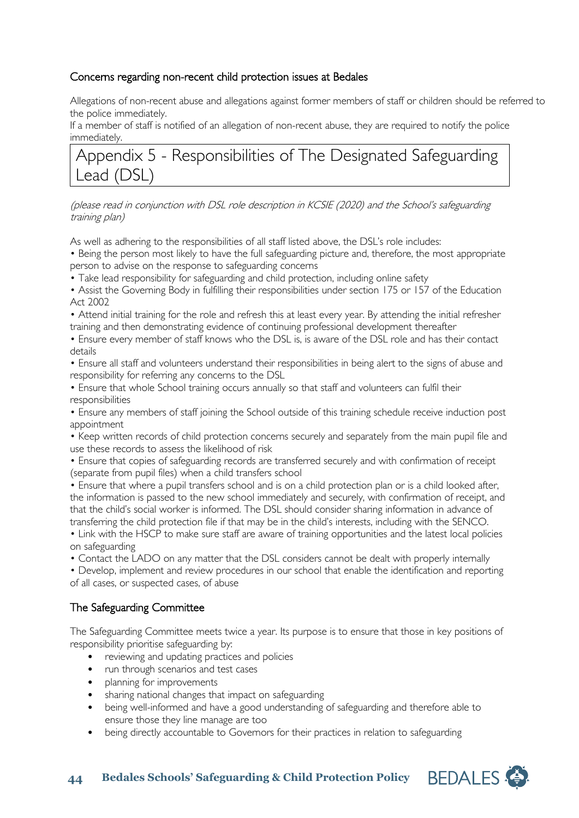#### <span id="page-43-0"></span>Concerns regarding non-recent child protection issues at Bedales

Allegations of non-recent abuse and allegations against former members of staff or children should be referred to the police immediately.

If a member of staff is notified of an allegation of non-recent abuse, they are required to notify the police immediately.

<span id="page-43-1"></span>Appendix 5 - Responsibilities of The Designated Safeguarding Lead (DSL)

(please read in conjunction with DSL role description in KCSIE (2020) and the School's safeguarding training plan)

As well as adhering to the responsibilities of all staff listed above, the DSL's role includes:

• Being the person most likely to have the full safeguarding picture and, therefore, the most appropriate person to advise on the response to safeguarding concerns

• Take lead responsibility for safeguarding and child protection, including online safety

• Assist the Governing Body in fulfilling their responsibilities under section 175 or 157 of the Education Act 2002

• Attend initial training for the role and refresh this at least every year. By attending the initial refresher training and then demonstrating evidence of continuing professional development thereafter

• Ensure every member of staff knows who the DSL is, is aware of the DSL role and has their contact details

• Ensure all staff and volunteers understand their responsibilities in being alert to the signs of abuse and responsibility for referring any concerns to the DSL

• Ensure that whole School training occurs annually so that staff and volunteers can fulfil their responsibilities

• Ensure any members of staff joining the School outside of this training schedule receive induction post appointment

• Keep written records of child protection concerns securely and separately from the main pupil file and use these records to assess the likelihood of risk

• Ensure that copies of safeguarding records are transferred securely and with confirmation of receipt (separate from pupil files) when a child transfers school

• Ensure that where a pupil transfers school and is on a child protection plan or is a child looked after, the information is passed to the new school immediately and securely, with confirmation of receipt, and that the child's social worker is informed. The DSL should consider sharing information in advance of transferring the child protection file if that may be in the child's interests, including with the SENCO.

• Link with the HSCP to make sure staff are aware of training opportunities and the latest local policies on safeguarding

• Contact the LADO on any matter that the DSL considers cannot be dealt with properly internally

• Develop, implement and review procedures in our school that enable the identification and reporting of all cases, or suspected cases, of abuse

## <span id="page-43-2"></span>The Safeguarding Committee

The Safeguarding Committee meets twice a year. Its purpose is to ensure that those in key positions of responsibility prioritise safeguarding by:

- reviewing and updating practices and policies
- run through scenarios and test cases
- planning for improvements
- sharing national changes that impact on safeguarding
- being well-informed and have a good understanding of safeguarding and therefore able to ensure those they line manage are too
- being directly accountable to Governors for their practices in relation to safeguarding

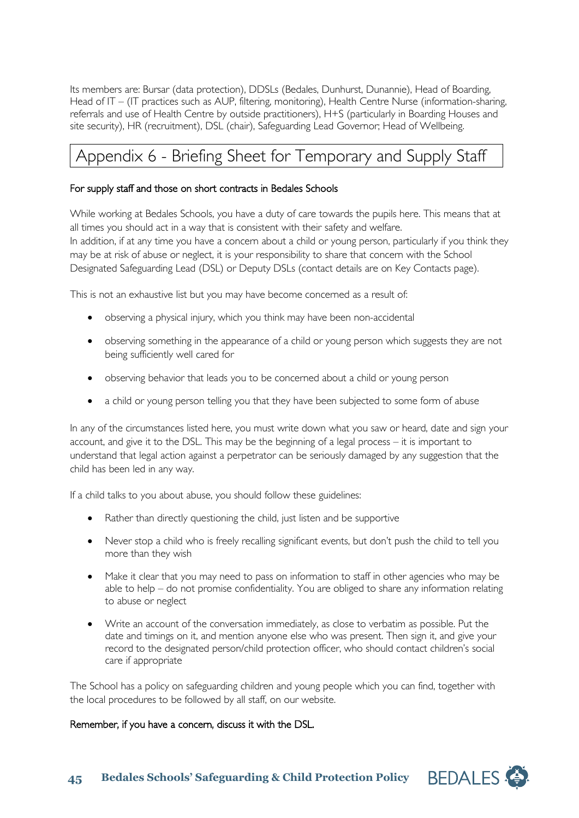Its members are: Bursar (data protection), DDSLs (Bedales, Dunhurst, Dunannie), Head of Boarding, Head of IT – (IT practices such as AUP, filtering, monitoring), Health Centre Nurse (information-sharing, referrals and use of Health Centre by outside practitioners), H+S (particularly in Boarding Houses and site security), HR (recruitment), DSL (chair), Safeguarding Lead Governor; Head of Wellbeing.

# <span id="page-44-0"></span>Appendix 6 - Briefing Sheet for Temporary and Supply Staff

#### For supply staff and those on short contracts in Bedales Schools

While working at Bedales Schools, you have a duty of care towards the pupils here. This means that at all times you should act in a way that is consistent with their safety and welfare. In addition, if at any time you have a concern about a child or young person, particularly if you think they may be at risk of abuse or neglect, it is your responsibility to share that concern with the School Designated Safeguarding Lead (DSL) or Deputy DSLs (contact details are on Key Contacts page).

This is not an exhaustive list but you may have become concerned as a result of:

- observing a physical injury, which you think may have been non-accidental
- observing something in the appearance of a child or young person which suggests they are not being sufficiently well cared for
- observing behavior that leads you to be concerned about a child or young person
- a child or young person telling you that they have been subjected to some form of abuse

In any of the circumstances listed here, you must write down what you saw or heard, date and sign your account, and give it to the DSL. This may be the beginning of a legal process – it is important to understand that legal action against a perpetrator can be seriously damaged by any suggestion that the child has been led in any way.

If a child talks to you about abuse, you should follow these guidelines:

- Rather than directly questioning the child, just listen and be supportive
- Never stop a child who is freely recalling significant events, but don't push the child to tell you more than they wish
- Make it clear that you may need to pass on information to staff in other agencies who may be able to help – do not promise confidentiality. You are obliged to share any information relating to abuse or neglect
- Write an account of the conversation immediately, as close to verbatim as possible. Put the date and timings on it, and mention anyone else who was present. Then sign it, and give your record to the designated person/child protection officer, who should contact children's social care if appropriate

The School has a policy on safeguarding children and young people which you can find, together with the local procedures to be followed by all staff, on our website.

#### Remember, if you have a concern, discuss it with the DSL.

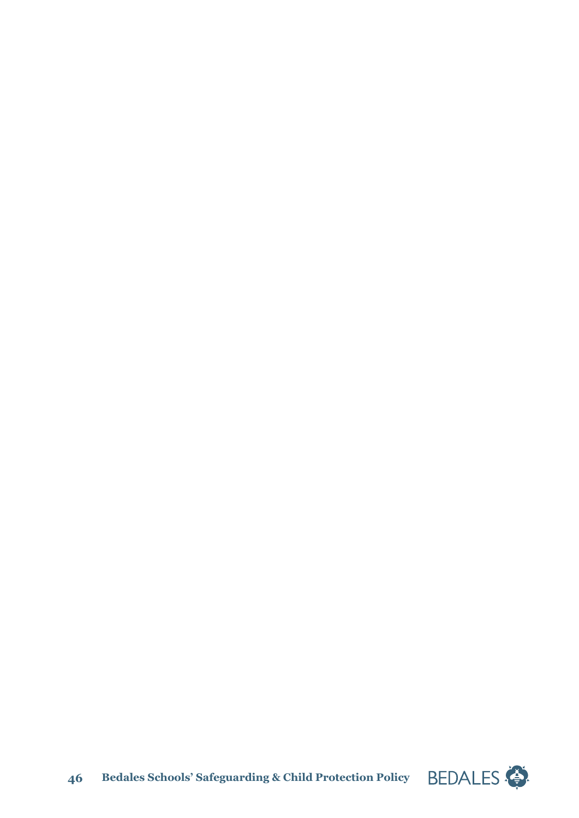